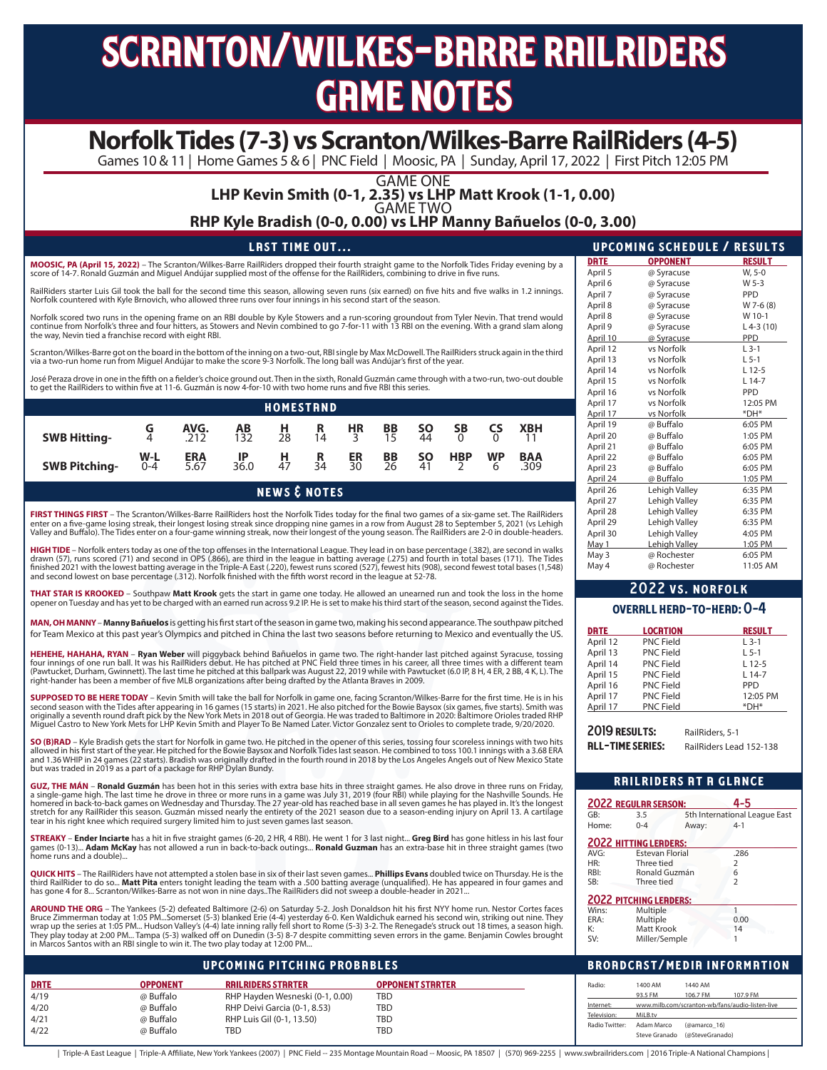# scranton/wilkes-barre railriders **GRME NOTES**

# **Norfolk Tides (7-3) vs Scranton/Wilkes-Barre RailRiders (4-5)**

Games 10 & 11 | Home Games 5 & 6 | PNC Field | Moosic, PA | Sunday, April 17, 2022 | First Pitch 12:05 PM

GAME ONE

## **LHP Kevin Smith (0-1, 2.35) vs LHP Matt Krook (1-1, 0.00)** GAME TWO

**RHP Kyle Bradish (0-0, 0.00) vs LHP Manny Bañuelos (0-0, 3.00)**

| <b>LAST TIME OUT</b> \                                                                                                                         |             | <b>UPCOMING SCHEDULE / RESULT</b> |               |
|------------------------------------------------------------------------------------------------------------------------------------------------|-------------|-----------------------------------|---------------|
| MOOSIC, PA (April 15, 2022) – The Scranton/Wilkes-Barre RailRiders dropped their fourth straight game to the Norfolk Tides Friday evening by a | <b>DRTE</b> | <b>OPPONENT</b>                   | <b>RESULT</b> |
| score of 14-7. Ronald Guzmán and Miquel Andújar supplied most of the offense for the RailRiders, combining to drive in five runs.              | April 5     | @ Syracuse                        | W. 5-0        |

RailRiders starter Luis Gil took the ball for the second time this season, allowing seven runs (six earned) on five hits and five walks in 1.2 innings. Norfolk countered with Kyle Brnovich, who allowed three runs over four innings in his second start of the season.

Norfolk scored two runs in the opening frame on an RBI double by Kyle Stowers and a run-scoring groundout from Tyler Nevin. That trend would<br>continue from Norfolk's three and four hitters, as Stowers and Nevin combined to the way, Nevin tied a franchise record with eight RBI.

Scranton/Wilkes-Barre got on the board in the bottom of the inning on a two-out, RBI single by Max McDowell. The RailRiders struck again in the third via a two-run home run from Miguel Andújar to make the score 9-3 Norfolk. The long ball was Andújar's first of the year.

José Peraza drove in one in the fifth on a fielder's choice ground out. Then in the sixth, Ronald Guzmán came through with a two-run, two-out double to get the RailRiders to within five at 11-6. Guzmán is now 4-for-10 with two home runs and five RBI this series.

| <b>HOMESTRND</b>     |                  |                    |                     |                |                |                             |                   |                 |                |                |                   |  |
|----------------------|------------------|--------------------|---------------------|----------------|----------------|-----------------------------|-------------------|-----------------|----------------|----------------|-------------------|--|
| <b>SWB Hitting-</b>  | G<br>4           | AVG.<br>.212       | $AB$ <sub>132</sub> | $\frac{H}{28}$ | $\frac{R}{14}$ | <b>HR</b><br>$\overline{z}$ | $rac{BB}{15}$     | $\frac{50}{44}$ | $\frac{SB}{0}$ | <b>CS</b>      | <b>XBH</b>        |  |
| <b>SWB Pitching-</b> | $W-L$<br>$0 - 4$ | <b>ERA</b><br>5.67 | -lP<br>36.0         | н<br>47        | R<br>34        | ER<br>30                    | BB<br>$\bar{2}$ 6 | SΟ<br>41        | <b>HBP</b>     | <b>WP</b><br>6 | <b>BAA</b><br>309 |  |

news & notes

**FIRST THINGS FIRST** – The Scranton/Wilkes-Barre RailRiders host the Norfolk Tides today for the final two games of a six-game set. The RailRiders enter on a five-game losing streak, their longest losing streak since dropping nine games in a row from August 28 to September 5, 2021 (vs Lehigh<br>Valley and Buffalo). The Tides enter on a four-game winning streak, now thei

**HIGH TIDE** – Norfolk enters today as one of the top offenses in the International League. They lead in on base percentage (.382), are second in walks<br>drawn (57), runs scored (71) and second in OPS (.866), are third in the and second lowest on base percentage (.312). Norfolk finished with the fifth worst record in the league at 52-78.

**THAT STAR IS KROOKED** – Southpaw **Matt Krook** gets the start in game one today. He allowed an unearned run and took the loss in the home opener on Tuesday and has yet to be charged with an earned run across 9.2 IP. He is set to make his third start of the season, second against the Tides.

**MAN, OH MANNY** – **Manny Bañuelos** is getting his first start of the season in game two, making his second appearance. The southpaw pitched for Team Mexico at this past year's Olympics and pitched in China the last two seasons before returning to Mexico and eventually the US.

**HEHEHE, HAHAHA, RYAN – Ryan Weber** will piggyback behind Bañuelos in game two. The right-hander last pitched against Syracuse, tossing<br>four innings of one run ball. It was his RailRiders debut. He has pitched at PNC Field right-hander has been a member of five MLB organizations after being drafted by the Atlanta Braves in 2009.

**SUPPOSED TO BE HERE TODAY** – Kevin Smith will take the ball for Norfolk in game one, facing Scranton/Wilkes-Barre for the first time. He is in his<br>second season with the Tides after appearing in 16 games (15 starts) in 20

**SO (B)RAD** – Kyle Bradish gets the start for Norfolk in game two. He pitched in the opener of this series, tossing four scoreless innings with two hits allowed in his first start of the year. He pitched for the Bowie Baysox and Norfolk Tides last season. He combined to toss 100.1 innings with a 3.68 ERA<br>and 1.36 WHIP in 24 games (22 starts). Bradish was originally drafted

**GUZ, THE MÁN – Ronald Guzmán** has been hot in this series with extra base hits in three straight games. He also drove in three runs on Friday,<br>a single-game high. The last time he drove in three or more runs in a game was stretch for any RailRider this season. Guzmán missed nearly the entirety of the 2021 season due to a season-ending injury on April 13. A cartilage<br>tear in his right knee which required surgery limited him to just seven gam

**STREAKY – Ender Inciarte** has a hit in five straight games (6-20, 2 HR, 4 RBI). He went 1 for 3 last night... **Greg Bird** has gone hitless in his last four<br>games (0-13)... **Adam McKay** has not allowed a run in back-to-bac

**QUICK HITS** – The RailRiders have not attempted a stolen base in six of their last seven games... **Phillips Evans** doubled twice on Thursday. He is the third RailRider to do so... **Matt Pita** enters tonight leading the team with a .500 batting average (unqualified). He has appeared in four games and has gone 4 for 8... Scranton/Wilkes-Barre as not won in nine days..The RailRiders did not sweep a double-header in 2021...

**AROUND THE ORG** – The Yankees (5-2) defeated Baltimore (2-6) on Saturday 5-2. Josh Donaldson hit his first NYY home run. Nestor Cortes faces Bruce Zimmerman today at 1:05 PM…Somerset (5-3) blanked Erie (4-4) yesterday 6-0. Ken Waldichuk earned his second win, striking out nine. They<br>wrap up the series at 1:05 PM… Hudson Valley's (4-4) late inning rally fell sho in Marcos Santos with an RBI single to win it. The two play today at 12:00 PM...

|             | <b>UPCOMING PITCHING PROBABLES</b> |                                 |                         |  |                |                                             |              | <b>BROADCAST/MEDIA INFORMATION</b>              |
|-------------|------------------------------------|---------------------------------|-------------------------|--|----------------|---------------------------------------------|--------------|-------------------------------------------------|
| <b>DRTE</b> | <b>OPPONENT</b>                    | <b>RAILRIDERS STARTER</b>       | <b>OPPONENT STRRTER</b> |  | Radio:         | 1400 AM                                     | 1440 AM      |                                                 |
| 4/19        | @ Buffalo                          | RHP Hayden Wesneski (0-1, 0.00) | <b>TBD</b>              |  |                | 93.5 FM                                     | 106.7 FM     | 107.9 FM                                        |
| 4/20        | @ Buffalo                          | RHP Deivi Garcia (0-1, 8.53)    | <b>TBD</b>              |  | Internet:      |                                             |              | www.milb.com/scranton-wb/fans/audio-listen-live |
| 4/21        | @ Buffalo                          | RHP Luis Gil (0-1, 13.50)       | <b>TBD</b>              |  | Television:    | MiLB.tv                                     |              |                                                 |
| 4/22        | @ Buffalo                          | <b>TBD</b>                      | <b>TBD</b>              |  | Radio Twitter: | Adam Marco<br>Steve Granado (@SteveGranado) | (@amarco 16) |                                                 |

| Triple-A East League | Triple-A Affiliate, New York Yankees (2007) | PNC Field -- 235 Montage Mountain Road -- Moosic, PA 18507 | (570) 969-2255 | www.swbrailriders.com | 2016 Triple-A National Champions |

| UMIC                      | UFFUNENI                | REJUL I       |  |  |  |  |  |
|---------------------------|-------------------------|---------------|--|--|--|--|--|
| April 5                   | @ Syracuse              | W, 5-0        |  |  |  |  |  |
| April 6                   | @ Syracuse              | W 5-3         |  |  |  |  |  |
| April 7                   | @ Syracuse              | <b>PPD</b>    |  |  |  |  |  |
| April 8                   | @ Syracuse              | W 7-6 (8)     |  |  |  |  |  |
| April 8                   | @ Syracuse              | W 10-1        |  |  |  |  |  |
| April 9                   | @ Syracuse              | $L$ 4-3 (10)  |  |  |  |  |  |
| April 10                  | @ Syracuse              | <b>PPD</b>    |  |  |  |  |  |
| April 12                  | vs Norfolk              | $L$ 3-1       |  |  |  |  |  |
| April 13                  | vs Norfolk              | $L$ 5-1       |  |  |  |  |  |
| April 14                  | vs Norfolk              | $L$ 12-5      |  |  |  |  |  |
| April 15                  | vs Norfolk              | $L$ 14-7      |  |  |  |  |  |
| April 16                  | vs Norfolk              | <b>PPD</b>    |  |  |  |  |  |
| April 17                  | vs Norfolk              | 12:05 PM      |  |  |  |  |  |
| April 17                  | vs Norfolk              | *DH*          |  |  |  |  |  |
| April 19                  | @ Buffalo               | 6:05 PM       |  |  |  |  |  |
| April 20                  | @ Buffalo               | 1:05 PM       |  |  |  |  |  |
| April 21                  | @ Buffalo               | 6:05 PM       |  |  |  |  |  |
| April 22                  | @ Buffalo               | 6:05 PM       |  |  |  |  |  |
| April 23                  | @ Buffalo               | 6:05 PM       |  |  |  |  |  |
| April 24                  | @ Buffalo               | 1:05 PM       |  |  |  |  |  |
| April 26                  | Lehigh Valley           | 6:35 PM       |  |  |  |  |  |
| April 27                  | Lehigh Valley           | 6:35 PM       |  |  |  |  |  |
| April 28                  | Lehigh Valley           | 6:35 PM       |  |  |  |  |  |
| April 29                  | Lehigh Valley           | 6:35 PM       |  |  |  |  |  |
| April 30                  | Lehigh Valley           | 4:05 PM       |  |  |  |  |  |
| May 1                     | Lehigh Valley           | 1:05 PM       |  |  |  |  |  |
| May 3                     | @ Rochester             | 6:05 PM       |  |  |  |  |  |
| May 4                     | @ Rochester             | 11:05 AM      |  |  |  |  |  |
|                           | <b>2022 VS. NORFOLK</b> |               |  |  |  |  |  |
| OVERALL HEAD-TO-HEAD: 0-4 |                         |               |  |  |  |  |  |
| <b>DRTE</b>               | <b>LOCRTION</b>         | <b>RESULT</b> |  |  |  |  |  |
|                           |                         |               |  |  |  |  |  |

**E/RESULTS** 

| <b>UMIL</b> | LUCHIUN          | <b>KESUL I</b> |
|-------------|------------------|----------------|
| April 12    | <b>PNC Field</b> | $L$ 3-1        |
| April 13    | <b>PNC Field</b> | $L$ 5-1        |
| April 14    | <b>PNC Field</b> | $L$ 12-5       |
| April 15    | <b>PNC Field</b> | $L$ 14-7       |
| April 16    | <b>PNC Field</b> | <b>PPD</b>     |
| April 17    | <b>PNC Field</b> | 12:05 PM       |
| April 17    | <b>PNC Field</b> | *DH*           |
|             |                  |                |

2019 RESULTS: RailRiders, 5-1

**RLL-TIME SERIES:** RailRiders Lead 152-138

|       | <b>RAILRIDERS AT A GLANCE</b> |                               |
|-------|-------------------------------|-------------------------------|
|       | 2022 REGULAR SERSON:          | 4-5                           |
| GB:   | 3.5                           | 5th International League East |
| Home: | $0 - 4$<br>Away:              | $4 - 1$                       |
|       | 2022 HITTING LEADERS:         |                               |
| AVG:  | <b>Estevan Florial</b>        | .286                          |
| HR:   | Three tied                    | $\overline{2}$                |
| RBI:  | Ronald Guzmán                 | 6                             |
| SB:   | Three tied                    | $\overline{\phantom{a}}$      |
|       | 2022 PITCHING LEADERS:        |                               |
| Wins: | Multiple                      | 1                             |
| ERA:  | Multiple                      | 0.00                          |
| К:    | Matt Krook                    | 14                            |
| SV:   | Miller/Semple                 |                               |
|       |                               |                               |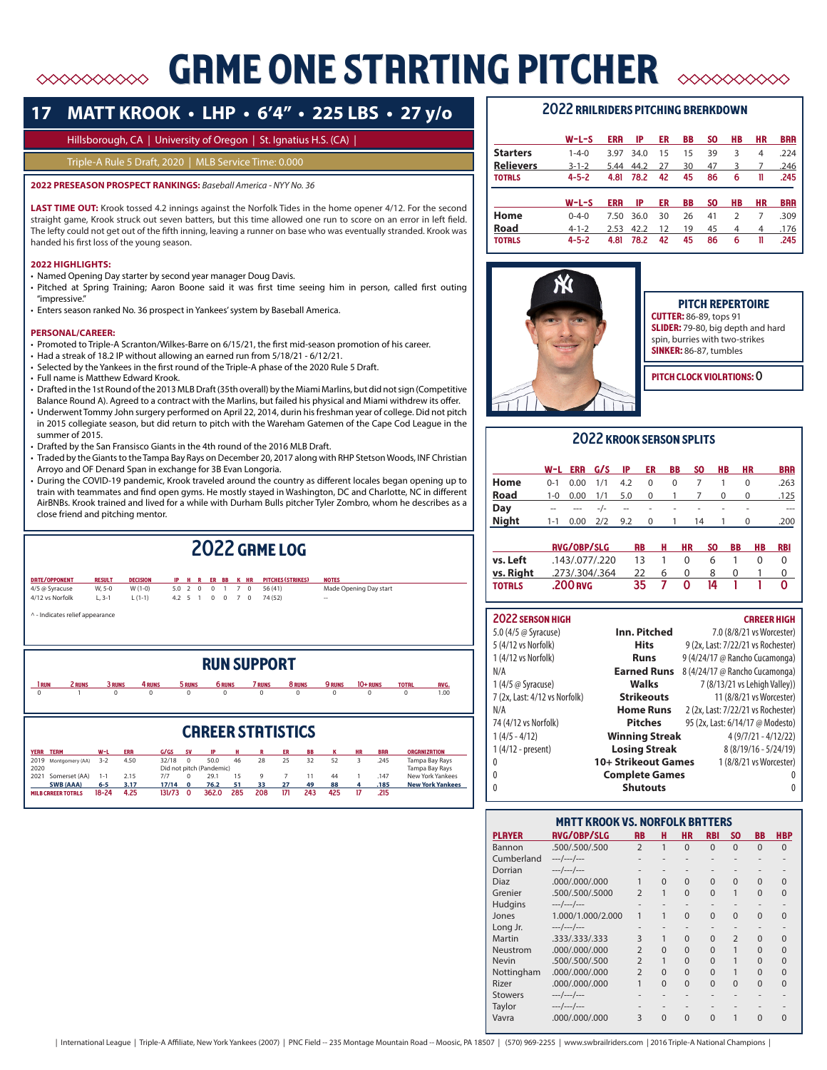# GRME ONE STRRTING PITCHER

# **17 MATT KROOK • LHP • 6'4" • 225 LBS • 27 y/o**

# Hillsborough, CA | University of Oregon | St. Ignatius H.S. (CA) |

# Triple-A Rule 5 Draft, 2020 | MLB Service Time: 0.000

**2022 PRESEASON PROSPECT RANKINGS:** *Baseball America - NYY No. 36*

LAST TIME OUT: Krook tossed 4.2 innings against the Norfolk Tides in the home opener 4/12. For the second straight game, Krook struck out seven batters, but this time allowed one run to score on an error in left field. The lefty could not get out of the fifth inning, leaving a runner on base who was eventually stranded. Krook was handed his first loss of the young season.

# **2022 HIGHLIGHTS:**

- Named Opening Day starter by second year manager Doug Davis.
- Pitched at Spring Training; Aaron Boone said it was first time seeing him in person, called first outing "impressive."
- Enters season ranked No. 36 prospect in Yankees' system by Baseball America.

# **PERSONAL/CAREER:**

- Promoted to Triple-A Scranton/Wilkes-Barre on 6/15/21, the first mid-season promotion of his career.
- Had a streak of 18.2 IP without allowing an earned run from 5/18/21 6/12/21.
- Selected by the Yankees in the first round of the Triple-A phase of the 2020 Rule 5 Draft.
- Full name is Matthew Edward Krook.
- Drafted in the 1st Round of the 2013 MLB Draft (35th overall) by the Miami Marlins, but did not sign (Competitive
- Balance Round A). Agreed to a contract with the Marlins, but failed his physical and Miami withdrew its offer. • Underwent Tommy John surgery performed on April 22, 2014, durin his freshman year of college. Did not pitch in 2015 collegiate season, but did return to pitch with the Wareham Gatemen of the Cape Cod League in the
- summer of 2015. • Drafted by the San Fransisco Giants in the 4th round of the 2016 MLB Draft.
- Traded by the Giants to the Tampa Bay Rays on December 20, 2017 along with RHP Stetson Woods, INF Christian
- Arroyo and OF Denard Span in exchange for 3B Evan Longoria. • During the COVID-19 pandemic, Krook traveled around the country as different locales began opening up to train with teammates and find open gyms. He mostly stayed in Washington, DC and Charlotte, NC in different AirBNBs. Krook trained and lived for a while with Durham Bulls pitcher Tyler Zombro, whom he describes as a close friend and pitching mentor.

|               |                                           |                           |                              |                       |                                  |                | 2022 GRME LOG |                                          |                                                    |              |                        |
|---------------|-------------------------------------------|---------------------------|------------------------------|-----------------------|----------------------------------|----------------|---------------|------------------------------------------|----------------------------------------------------|--------------|------------------------|
| <b>RESULT</b> |                                           | IP                        |                              |                       |                                  |                |               |                                          |                                                    |              |                        |
| W, 5-0        | $W(1-0)$                                  | 5.0                       |                              | $\mathbf{1}$          |                                  |                | 56 (41)       |                                          |                                                    |              |                        |
| $L, 3-1$      | $L(1-1)$                                  | 4.2                       |                              | $\mathbf 0$           | $7^{\circ}$                      | $\overline{0}$ | 74 (52)       | --                                       |                                                    |              |                        |
|               |                                           |                           |                              |                       |                                  |                |               |                                          |                                                    |              |                        |
|               | 4 RUNS                                    |                           |                              |                       |                                  |                |               | 9 RUNS                                   | $10+$ RUNS                                         | <b>TOTAL</b> | <b>RVG.</b>            |
| $\Omega$      | $\Omega$                                  |                           |                              | $\Omega$              |                                  |                | $\Omega$      | $\Omega$                                 | $\Omega$                                           | $\Omega$     | 1.00                   |
|               | ^ - Indicates relief appearance<br>2 RUNS | <b>DECISION</b><br>3 RUNS | 2<br>5<br>5 RUNS<br>$\Omega$ | R<br>$^{\circ}$<br>-1 | ER BB<br>$\mathbf 0$<br>$\Omega$ | <b>6 RUNS</b>  | K HR<br>70    | <b>RUN SUPPORT</b><br>7 RUNS<br>$\Omega$ | <b>PITCHES (STRIKES)</b><br><b>NOTES</b><br>8 RUNS |              | Made Opening Day start |

|                           | <b>CRREER STRTISTICS</b> |           |            |        |              |                          |     |     |     |           |     |    |            |                         |
|---------------------------|--------------------------|-----------|------------|--------|--------------|--------------------------|-----|-----|-----|-----------|-----|----|------------|-------------------------|
| YERR TERM                 |                          | W-L       | <b>ERR</b> | G/GS   | <b>SV</b>    | IP                       |     |     | ER  | <b>BB</b> |     | HR | <b>BRR</b> | <b>ORGANIZATION</b>     |
|                           | 2019 Montgomery (AA)     | $3-2$     | 4.50       | 32/18  |              | 50.0                     | 46  | 28  | 25  | 32        | 52  |    | .245       | Tampa Bay Rays          |
| 2020                      |                          |           |            |        |              | Did not pitch (Pandemic) |     |     |     |           |     |    |            | Tampa Bay Rays          |
| 2021                      | Somerset (AA)            | $1 - 1$   | 2.15       | 7/7    |              | 29.1                     | 15  |     |     |           | 44  |    | 147        | New York Yankees        |
|                           | <b>SWB (AAA)</b>         | $6-5$     | 3.17       | 17/14  | $\mathbf{0}$ | 76.2                     | 51  | 33  | 27  | 49        | 88  |    | .185       | <b>New York Yankees</b> |
| <b>MILB CRREER TOTALS</b> |                          | $18 - 24$ | 4.25       | 131/73 |              | 362.0                    | 285 | 208 | 171 | 243       | 425 |    | 215        |                         |

# 2022 railriders pitching breakdown

|                  | w-L-S       | <b>ERR</b> | IP   | ER | BB | SO. | HВ             | НR | <b>BRR</b> |
|------------------|-------------|------------|------|----|----|-----|----------------|----|------------|
| <b>Starters</b>  | $1 - 4 - 0$ | 3.97       | 34.0 | 15 | 15 | 39  | 3              | 4  | .224       |
| <b>Relievers</b> | $3 - 1 - 2$ | 5.44       | 44.2 | 27 | 30 | 47  | 3              | 7  | .246       |
| <b>TOTRLS</b>    | $4 - 5 - 2$ | 4.81       | 78.2 | 42 | 45 | 86  | 6              | 11 | .245       |
|                  |             |            |      |    |    |     |                |    |            |
|                  |             |            |      |    |    |     |                |    |            |
|                  | $W-L-S$     | <b>ERR</b> | IP   | ER | BB | SO. | HВ             | НR | <b>BRR</b> |
| Home             | $0 - 4 - 0$ | 7.50       | 36.0 | 30 | 26 | 41  | $\overline{2}$ | 7  | .309       |
| Road             | $4 - 1 - 2$ | 2.53       | 42.2 | 12 | 19 | 45  | 4              | 4  | .176       |
| <b>TOTRLS</b>    | $4 - 5 - 2$ | 4.81       | 78.2 | 42 | 45 | 86  | 6              | 11 | .245       |



## PITCH REPERTOIRE **CUTTER:** 86-89, tops 91 SLIDER: 79-80, big depth and hard spin, burries with two-strikes SINKER: 86-87, tumbles

PITCH CLOCK VIOLATIONS: O

# 2022 KROOK SERSON SPLITS

|              |                          | W-L ERR G/S IP |           |            | ER         | BB                       | SO.            | HB.            | <b>HR</b>                  | <b>BRR</b> |
|--------------|--------------------------|----------------|-----------|------------|------------|--------------------------|----------------|----------------|----------------------------|------------|
| Home         | $0 - 1$                  | 0.00           | 1/1       | 4.2        | $\Omega$   | 0                        | $\overline{7}$ |                | 0                          | .263       |
| <b>Road</b>  |                          |                |           |            |            |                          |                |                | 1-0 0.00 1/1 5.0 0 1 7 0 0 | .125       |
| Day          | $\overline{\phantom{a}}$ | $\cdots$       | $-/-$     | $\sim$ $-$ | $\sim 100$ | <b>Contract Contract</b> | $\sim$         | $\sim$         | ٠                          | $- - -$    |
| <b>Night</b> | $1 - 1$                  | $0.00\,$       | $2/2$ 9.2 |            |            | $0 \quad 1$              | 14             | $\overline{1}$ | 0                          | .200       |
|              |                          |                |           |            |            |                          |                |                |                            |            |

|               | <b>RVG/OBP/SLG</b> | <b>RB</b> | н | <b>HR</b> | SO. | BB | <b>HB</b> | RBI |
|---------------|--------------------|-----------|---|-----------|-----|----|-----------|-----|
| vs. Left      | .143/.077/.220     | 13        |   |           | h   |    |           |     |
| vs. Right     | .273/.304/.364     | 22        | h |           | x   |    |           |     |
| <b>TOTRLS</b> | .200 RVG           | 35.       |   | o         | 14  |    |           |     |

# 2022 season high career high career high career high career  $\sim$

| 5.0 (4/5 @ Syracuse)          | Inn. Pitched          | 7.0 (8/8/21 vs Worcester)          |
|-------------------------------|-----------------------|------------------------------------|
| 5 (4/12 vs Norfolk)           | <b>Hits</b>           | 9 (2x, Last: 7/22/21 vs Rochester) |
| 1 (4/12 vs Norfolk)           | <b>Runs</b>           | 9 (4/24/17 @ Rancho Cucamonga)     |
| N/A                           | <b>Earned Runs</b>    | 8 (4/24/17 @ Rancho Cucamonga)     |
| 1 (4/5 @ Syracuse)            | Walks                 | 7 (8/13/21 vs Lehigh Valley))      |
| 7 (2x, Last: 4/12 vs Norfolk) | <b>Strikeouts</b>     | 11 (8/8/21 vs Worcester)           |
| N/A                           | <b>Home Runs</b>      | 2 (2x, Last: 7/22/21 vs Rochester) |
| 74 (4/12 vs Norfolk)          | <b>Pitches</b>        | 95 (2x, Last: 6/14/17 @ Modesto)   |
| $1(4/5 - 4/12)$               | <b>Winning Streak</b> | $4(9/7/21 - 4/12/22)$              |
| $1(4/12 - present)$           | <b>Losing Streak</b>  | $8(8/19/16 - 5/24/19)$             |
| 0                             | 10+ Strikeout Games   | 1 (8/8/21 vs Worcester)            |
| $\Omega$                      | <b>Complete Games</b> |                                    |
| 0                             | <b>Shutouts</b>       | 0                                  |

|                | <b>MRTT KROOK VS. NORFOLK BRTTERS</b> |                |          |           |            |                |          |            |
|----------------|---------------------------------------|----------------|----------|-----------|------------|----------------|----------|------------|
| <b>PLAYER</b>  | <b>RVG/OBP/SLG</b>                    | <b>RB</b>      | н        | <b>HR</b> | <b>RBI</b> | <b>SO</b>      | ΒB       | <b>HBP</b> |
| Bannon         | .500/.500/.500                        | $\overline{2}$ | 1        | $\Omega$  | $\Omega$   | $\Omega$       | $\Omega$ | $\Omega$   |
| Cumberland     | $---/---/---$                         |                |          |           |            |                |          |            |
| Dorrian        | $---/---/---$                         |                |          |           |            |                |          |            |
| Diaz           | .000/.000/.000                        |                | $\Omega$ | $\Omega$  | $\Omega$   | $\Omega$       | $\Omega$ | O          |
| Grenier        | .500/.500/.5000                       | $\mathfrak{D}$ | 1        | $\Omega$  | $\Omega$   |                | $\Omega$ | $\Omega$   |
| Hudgins        | $---/---/---$                         |                |          |           |            |                |          |            |
| Jones          | 1.000/1.000/2.000                     | 1              | 1        | $\Omega$  | $\Omega$   | $\Omega$       | $\Omega$ | 0          |
| Long Jr.       | ---/---/---                           | -              |          |           |            |                |          |            |
| Martin         | .333/.333/.333                        | 3              |          | $\Omega$  | $\Omega$   | $\overline{2}$ | $\Omega$ | U          |
| Neustrom       | .000/.000/.000                        | $\overline{2}$ | $\Omega$ | $\Omega$  | $\Omega$   | 1              | $\Omega$ | U          |
| <b>Nevin</b>   | .500/.500/.500                        | $\overline{2}$ | 1        | $\Omega$  | $\Omega$   |                | $\Omega$ | U          |
| Nottingham     | .000/.000/.000                        | $\overline{2}$ | $\Omega$ | $\Omega$  | $\Omega$   |                | $\Omega$ | U          |
| Rizer          | .000/.000/.000                        | 1              | $\Omega$ | $\Omega$  | $\Omega$   | $\Omega$       | $\Omega$ | $\Omega$   |
| <b>Stowers</b> | $---/---/---$                         |                |          |           |            |                |          |            |
| Taylor         | ---/---/---                           |                |          |           |            |                |          |            |
| Vavra          | .000/.000/.000                        | ξ              | $\Omega$ | $\Omega$  | $\Omega$   | 1              | $\Omega$ | U          |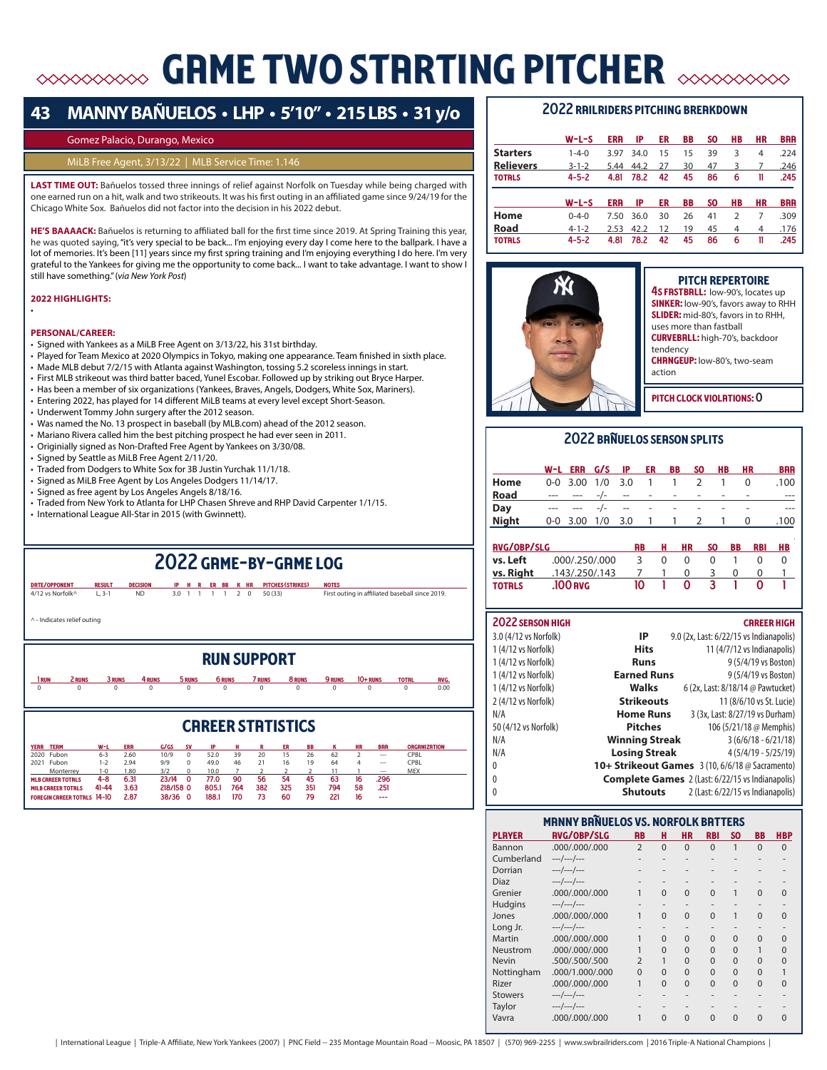# **GRME TWO STRRTING PITCHER AND SOME TWO STRRTING PITCHER**

# **43 MANNY BAÑUELOS • LHP • 5'10" • 215 LBS • 31 y/o**

## Gomez Palacio, Durango, Mexico

## MiLB Free Agent, 3/13/22 | MLB Service Time: 1.146

**LAST TIME OUT:** Bañuelos tossed three innings of relief against Norfolk on Tuesday while being charged with one earned run on a hit, walk and two strikeouts. It was his first outing in an affiliated game since 9/24/19 for the Chicago White Sox. Bañuelos did not factor into the decision in his 2022 debut.

**HE'S BAAAACK:** Bañuelos is returning to affiliated ball for the first time since 2019. At Spring Training this year, he was quoted saying, "it's very special to be back... I'm enjoying every day I come here to the ballpark. I have a lot of memories. It's been [11] years since my first spring training and I'm enjoying everything I do here. I'm very grateful to the Yankees for giving me the opportunity to come back... I want to take advantage. I want to show I still have something." (*via New York Post*)

**2022 HIGHLIGHTS:** 

•

### **PERSONAL/CAREER:**

- Signed with Yankees as a MiLB Free Agent on 3/13/22, his 31st birthday.
- Played for Team Mexico at 2020 Olympics in Tokyo, making one appearance. Team finished in sixth place.
- Made MLB debut 7/2/15 with Atlanta against Washington, tossing 5.2 scoreless innings in start.
- First MLB strikeout was third batter baced, Yunel Escobar. Followed up by striking out Bryce Harper.
- Has been a member of six organizations (Yankees, Braves, Angels, Dodgers, White Sox, Mariners).
- Entering 2022, has played for 14 different MiLB teams at every level except Short-Season.
- Underwent Tommy John surgery after the 2012 season.
- Was named the No. 13 prospect in baseball (by MLB.com) ahead of the 2012 season.
- Mariano Rivera called him the best pitching prospect he had ever seen in 2011.
- Originially signed as Non-Drafted Free Agent by Yankees on 3/30/08.
- Signed by Seattle as MiLB Free Agent 2/11/20.
- Traded from Dodgers to White Sox for 3B Justin Yurchak 11/1/18.
- Signed as MiLB Free Agent by Los Angeles Dodgers 11/14/17.
- Signed as free agent by Los Angeles Angels 8/18/16.
- Traded from New York to Atlanta for LHP Chasen Shreve and RHP David Carpenter 1/1/15.
- International League All-Star in 2015 (with Gwinnett).

# 2022 game-by-game log

date/opponent result decision ip h r er bb k hr pitches (strikes) notes 4/12 vs Norfolk^ L, 3-1 ND 3.0 1 1 1 1 2 0 50 (33) First outing in affiliated baseball since 2019. ^ - Indicates relief outing run support 1 run 2 runs 3 runs 4 runs 5 runs 6 runs 7 runs 8 runs 9 runs 10+ runs total avg.  $0$  0 0 0 0 0 0 0 0 0 0 0 0 0.00

# **CRREER STRTISTICS**

| YERR TERM                          | W-1       | <b>ERR</b> | G/GS      | <b>SV</b> |       |     |     | FD  |     |     |    | <b>BRR</b>               | <b>ORGANIZATION</b> |
|------------------------------------|-----------|------------|-----------|-----------|-------|-----|-----|-----|-----|-----|----|--------------------------|---------------------|
| 2020 Fubon                         | $6 - 3$   | 2.60       | 10/9      |           | 52.0  | 39  | 20  |     | 26  | 62  |    | $- - -$                  | CPBL                |
| 2021<br>Fubon                      | $ -2$     | 2.94       | 9/9       |           | 49.0  | 46  | 21  | 16  | 19  | 64  |    | $\overline{\phantom{a}}$ | CPBL                |
| Monterrey                          | $-0$      | .80        | 3/2       |           | 10.0  |     |     |     |     |     |    | $\sim$                   | MEX                 |
| <b>MLB CRREER TOTRLS</b>           | 4-8       | 6.31       | 23/14     |           | 77.0  | 90  | 56  | 54  | 45  | 63  |    | 296                      |                     |
| <b>MILB CRREER TOTRLS</b>          | $41 - 44$ | 3.63       | 218/158 0 |           | 805.1 | 764 | 382 | 325 | 351 | 794 | 58 | .251                     |                     |
| <b>FOREGIN CRREER TOTRLS 14-10</b> |           | 2.87       | 38/36     |           | 188.1 | 170 |     | 60  | 79  | 221 |    | ---                      |                     |

# 2022 railriders pitching breakdown

| $W-L-S$<br><b>ERR</b><br>IP<br>ER<br>BB<br>HВ<br>НR<br><b>BRR</b><br>SO.<br><b>Starters</b><br>.224<br>39<br>3<br>$1 - 4 - 0$<br>15<br>4<br>34.0<br>15<br>3.97<br><b>Relievers</b><br>.246<br>$3 - 1 - 2$<br>30<br>47<br>44.2<br>3<br>5.44<br>27<br>7<br>$4 - 5 - 2$<br>42<br>45<br>.245<br>78.2<br>86<br>4.81<br><b>TOTRLS</b><br>6<br>11<br>IP<br>BB<br>HВ<br><b>BRR</b><br><b>ERR</b><br>ER<br>SO.<br>НR<br>$W-L-S$<br>Home<br>26<br>41<br>7<br>.309<br>$0 - 4 - 0$<br>30<br>$\mathcal{P}$<br>36.0<br>7.50<br>Road<br>42.2<br>12<br>19<br>45<br>$4 - 1 - 2$<br>.176<br>2.53<br>4<br>4<br>$4 - 5 - 2$<br>86<br>.245<br>42<br>45<br>4.81<br>78.2<br><b>TOTRLS</b><br>6<br>11 |  |  |  |  |  |
|-------------------------------------------------------------------------------------------------------------------------------------------------------------------------------------------------------------------------------------------------------------------------------------------------------------------------------------------------------------------------------------------------------------------------------------------------------------------------------------------------------------------------------------------------------------------------------------------------------------------------------------------------------------------------------|--|--|--|--|--|
|                                                                                                                                                                                                                                                                                                                                                                                                                                                                                                                                                                                                                                                                               |  |  |  |  |  |
|                                                                                                                                                                                                                                                                                                                                                                                                                                                                                                                                                                                                                                                                               |  |  |  |  |  |
|                                                                                                                                                                                                                                                                                                                                                                                                                                                                                                                                                                                                                                                                               |  |  |  |  |  |
|                                                                                                                                                                                                                                                                                                                                                                                                                                                                                                                                                                                                                                                                               |  |  |  |  |  |
|                                                                                                                                                                                                                                                                                                                                                                                                                                                                                                                                                                                                                                                                               |  |  |  |  |  |
|                                                                                                                                                                                                                                                                                                                                                                                                                                                                                                                                                                                                                                                                               |  |  |  |  |  |
|                                                                                                                                                                                                                                                                                                                                                                                                                                                                                                                                                                                                                                                                               |  |  |  |  |  |
|                                                                                                                                                                                                                                                                                                                                                                                                                                                                                                                                                                                                                                                                               |  |  |  |  |  |
|                                                                                                                                                                                                                                                                                                                                                                                                                                                                                                                                                                                                                                                                               |  |  |  |  |  |



| <b>PITCH REPERTOIRE</b><br>4S FRSTBRLL: low-90's, locates up<br><b>SINKER:</b> low-90's, favors away to RHH<br>SLIDER: mid-80's, favors in to RHH,<br>uses more than fastball<br><b>CURVEBRLL:</b> high-70's, backdoor |
|------------------------------------------------------------------------------------------------------------------------------------------------------------------------------------------------------------------------|
| tendency<br><b>CHRNGEUP:</b> low-80's, two-seam<br>action                                                                                                                                                              |
| <b>ITCH CLOCK VIOLATIONS</b>                                                                                                                                                                                           |

# 2022 banuelos season splits

|              | W-L ERR G/S IP ER BB SO HB |  |  |                          | <b>HR</b> | <b>BRR</b> |
|--------------|----------------------------|--|--|--------------------------|-----------|------------|
| Home         | 0-0 3.00 1/0 3.0 1 1 2 1   |  |  |                          | 0         | .100       |
| <b>Road</b>  | --- --- -/- -- - - - -     |  |  | $\overline{\phantom{a}}$ |           |            |
| Day          | ___ ___ _/_ __ _ _ _       |  |  |                          |           |            |
| <b>Night</b> | 0-0 3.00 1/0 3.0 1 1 2 1 0 |  |  |                          |           | .100       |
|              |                            |  |  |                          |           |            |

| <b>RVG/OBP/SLG</b> | RB             | н  | <b>HR</b> | <b>SO</b> | BB | RBI | <b>HB</b> |  |
|--------------------|----------------|----|-----------|-----------|----|-----|-----------|--|
| vs. Left           | .000/.250/.000 |    | 0         |           |    |     |           |  |
| Vs. Right          | .143/.250/.143 |    |           |           |    |     |           |  |
| <b>TOTRLS</b>      | .100 RVG       | 10 |           |           |    |     |           |  |

| <b>2022 SERSON HIGH</b> |                       | <b>CRREER HIGH</b>                                      |
|-------------------------|-----------------------|---------------------------------------------------------|
| 3.0 (4/12 vs Norfolk)   | IP                    | 9.0 (2x, Last: 6/22/15 vs Indianapolis)                 |
| 1 (4/12 vs Norfolk)     | <b>Hits</b>           | 11 (4/7/12 vs Indianapolis)                             |
| 1 (4/12 vs Norfolk)     | <b>Runs</b>           | 9 (5/4/19 vs Boston)                                    |
| 1 (4/12 vs Norfolk)     | <b>Earned Runs</b>    | 9 (5/4/19 vs Boston)                                    |
| 1 (4/12 vs Norfolk)     | Walks                 | 6 (2x, Last: 8/18/14 @ Pawtucket)                       |
| 2 (4/12 vs Norfolk)     | <b>Strikeouts</b>     | 11 (8/6/10 vs St. Lucie)                                |
| N/A                     | <b>Home Runs</b>      | 3 (3x, Last: 8/27/19 vs Durham)                         |
| 50 (4/12 vs Norfolk)    | <b>Pitches</b>        | 106 (5/21/18 @ Memphis)                                 |
| N/A                     | <b>Winning Streak</b> | $3(6/6/18 - 6/21/18)$                                   |
| N/A                     | <b>Losing Streak</b>  | $4(5/4/19 - 5/25/19)$                                   |
| 0                       |                       | 10+ Strikeout Games $3(10, 6/6/18)$ $\odot$ Sacramento) |
| $\theta$                |                       | <b>Complete Games</b> 2 (Last: 6/22/15 vs Indianapolis) |
| 0                       | <b>Shutouts</b>       | 2 (Last: 6/22/15 vs Indianapolis)                       |

| <b>MANNY BRNUELOS VS. NORFOLK BRTTERS</b> |                    |                |                          |           |            |              |          |            |  |  |
|-------------------------------------------|--------------------|----------------|--------------------------|-----------|------------|--------------|----------|------------|--|--|
| <b>PLAYER</b>                             | <b>RVG/OBP/SLG</b> | <b>RB</b>      | н                        | <b>HR</b> | <b>RBI</b> | SO.          | BB       | <b>HBP</b> |  |  |
| Bannon                                    | .000/.000/.000     | $\overline{2}$ | $\Omega$                 | $\Omega$  | $\Omega$   | $\mathbf{1}$ | $\Omega$ | $\Omega$   |  |  |
| Cumberland                                | $---/---/---$      |                |                          |           |            |              |          |            |  |  |
| Dorrian                                   | $---/---/---$      |                |                          |           |            |              |          |            |  |  |
| Diaz                                      | $---/---/---$      |                |                          |           |            |              |          |            |  |  |
| Grenier                                   | .000/.000/.000     | 1              | $\Omega$                 | $\Omega$  | $\Omega$   |              | $\Omega$ | 0          |  |  |
| Hudgins                                   | $---/---/---$      |                | $\overline{\phantom{a}}$ |           |            |              |          |            |  |  |
| Jones                                     | .000/.000/.000     | 1              | $\Omega$                 | $\Omega$  | $\Omega$   |              | $\Omega$ | U          |  |  |
| Long Jr.                                  | $---/---/---$      |                |                          |           |            |              |          |            |  |  |
| Martin                                    | .000/.000/.000     | 1              | $\Omega$                 | $\Omega$  | $\Omega$   | $\Omega$     | $\Omega$ | U          |  |  |
| Neustrom                                  | .000/.000/.000     |                | $\Omega$                 | $\Omega$  | $\Omega$   | $\Omega$     |          | U          |  |  |
| <b>Nevin</b>                              | .500/.500/.500     | $\mathfrak{D}$ | 1                        | $\Omega$  | $\Omega$   | $\Omega$     | $\Omega$ | U          |  |  |
| Nottingham                                | .000/1.000/.000    | $\Omega$       | $\Omega$                 | $\Omega$  | $\Omega$   | $\Omega$     | $\Omega$ |            |  |  |
| Rizer                                     | .000/.000/.000     | 1              | $\Omega$                 | $\Omega$  | $\Omega$   | $\Omega$     | $\Omega$ | U          |  |  |
| <b>Stowers</b>                            | $---/---/---$      |                |                          |           |            |              |          |            |  |  |
| Taylor                                    | $---/---/---$      |                |                          |           |            |              |          |            |  |  |
| Vavra                                     | .000/.000/.000     | 1              | $\Omega$                 | $\Omega$  | $\Omega$   | $\Omega$     | $\Omega$ |            |  |  |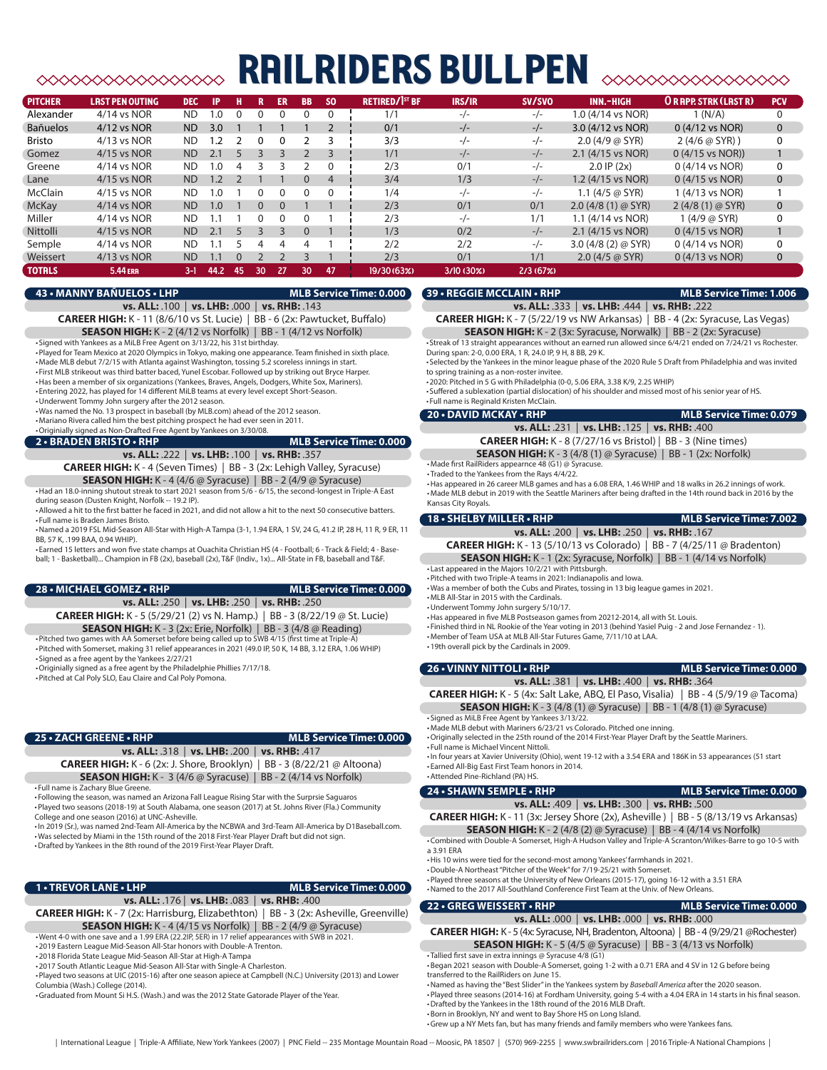# railriders bullpen

| <b>PITCHER</b>  | <b>LRST PEN OUTING</b> | <b>DEC</b>     | <b>IP</b>    | н      | R  | ER       | <b>BB</b>    | <b>SO</b> | <b>RETIRED/1st BF</b> | IRS/IR     | SV/SVO   | <b>INN.-HIGH</b>             | <b>OR RPP. STRK (LAST R)</b> | <b>PCV</b>   |
|-----------------|------------------------|----------------|--------------|--------|----|----------|--------------|-----------|-----------------------|------------|----------|------------------------------|------------------------------|--------------|
| Alexander       | 4/14 vs NOR            | <b>ND</b>      | $\Omega$     |        |    |          |              |           | 1/1                   | $-/-$      | $-/-$    | 1.0 (4/14 vs NOR)            | 1 (N/A)                      |              |
| <b>Bañuelos</b> | $4/12$ vs NOR          | <b>ND</b>      | 3.0          |        |    |          |              |           | 0/1                   | $-/-$      | $-/-$    | 3.0 (4/12 vs NOR)            | $0(4/12 \text{ vs } NOR)$    | $\Omega$     |
| <b>Bristo</b>   | $4/13$ vs NOR          | <b>ND</b>      |              |        |    | 0        |              |           | 3/3                   | $-/-$      | $-/-$    | $2.0$ (4/9 $\omega$ SYR)     | $2(4/6 \omega SYR)$          | 0            |
| Gomez           | 4/15 vs NOR            | <b>ND</b>      | 2.1          |        |    |          |              |           | 1/1                   | $-/-$      | $-/-$    | 2.1 (4/15 vs NOR)            | $0(4/15 \text{ vs } NOR))$   |              |
| Greene          | 4/14 vs NOR            | ND.            | $\cdot$ .0   | 4      |    |          |              | $\Omega$  | 2/3                   | 0/1        | $-/-$    | $2.0$ IP $(2x)$              | $0(4/14 \text{ vs } NOR)$    | 0            |
| Lane            | 4/15 vs NOR            | <b>ND</b>      | 1.2          |        |    |          | $\Omega$     |           | 3/4                   | 1/3        | $-/-$    | 1.2 (4/15 vs NOR)            | 0 (4/15 vs NOR)              | $\Omega$     |
| <b>McClain</b>  | 4/15 vs NOR            | <b>ND</b>      | $\Omega$     |        |    | 0        | <sup>0</sup> | $\Omega$  | 1/4                   | $-/-$      | $-/-$    | 1.1 (4/5 @ SYR)              | 1 (4/13 vs NOR)              |              |
| <b>McKay</b>    | $4/14$ vs NOR          | <b>ND</b>      | 1.0          |        | 0  | $\Omega$ |              |           | 2/3                   | 0/1        | 0/1      | $2.0$ (4/8 (1) $\omega$ SYR) | $2(4/8(1) \oslash SYR)$      | $\Omega$     |
| Miller          | 4/14 vs NOR            | <b>ND</b>      |              |        |    | 0        |              |           | 2/3                   | $-/-$      | 1/1      | 1.1 (4/14 vs NOR)            | 1 (4/9 @ SYR)                | $\mathbf{0}$ |
| Nittolli        | 4/15 vs NOR            | N <sub>D</sub> | 2.1          | $\sim$ |    | 3        | $\Omega$     |           | 1/3                   | 0/2        | $-/-$    | 2.1 (4/15 vs NOR)            | $0(4/15 \text{ vs } NOR)$    |              |
| Semple          | $4/14$ vs NOR          | <b>ND</b>      |              |        | 4  | 4        | 4            |           | 2/2                   | 2/2        | $-/-$    | 3.0 $(4/8(2)$ @ SYR)         | 0 (4/14 vs NOR)              | 0            |
| Weissert        | $4/13$ vs NOR          | <b>ND</b>      | $\mathsf{L}$ |        |    |          |              |           | 2/3                   | 0/1        | 1/1      | $2.0$ (4/5 $\omega$ SYR)     | 0 (4/13 vs NOR)              | $\mathbf{0}$ |
| <b>TOTRLS</b>   | 5.44 ERR               | $3-1$          | 44.2         | 45     | 30 | 27       | 30           | 47        | 19/30 (63%)           | 3/10 (30%) | 2/3(67%) |                              |                              |              |

### **43 • MANNY BAÑUELOS • LHP MLB Service Time: 0.000**

## **39 • REGGIE MCCLAIN • RHP MLB Service Time: 1.006**

**vs. ALL:** .333 | **vs. LHB:** .444 | **vs. RHB:** .222

**CAREER HIGH:** K - 7 (5/22/19 vs NW Arkansas) | BB - 4 (2x: Syracuse, Las Vegas) **SEASON HIGH:** K - 2 (3x: Syracuse, Norwalk) | BB - 2 (2x: Syracuse)

• Streak of 13 straight appearances without an earned run allowed since 6/4/21 ended on 7/24/21 vs Rochester. During span: 2-0, 0.00 ERA, 1 R, 24.0 IP, 9 H, 8 BB, 29 K.

to spring training as a non-roster invitee.

## •Underwent Tommy John surgery after the 2012 season. •Was named the No. 13 prospect in baseball (by MLB.com) ahead of the 2012 season. •Mariano Rivera called him the best pitching prospect he had ever seen in 2011.

**vs. ALL:** .100 | **vs. LHB:** .000 | **vs. RHB:** .143 **CAREER HIGH:** K - 11 (8/6/10 vs St. Lucie) | BB - 6 (2x: Pawtucket, Buffalo) **SEASON HIGH:** K - 2 (4/12 vs Norfolk) | BB - 1 (4/12 vs Norfolk)

•Played for Team Mexico at 2020 Olympics in Tokyo, making one appearance. Team finished in sixth place. •Made MLB debut 7/2/15 with Atlanta against Washington, tossing 5.2 scoreless innings in start. • First MLB strikeout was third batter baced, Yunel Escobar. Followed up by striking out Bryce Harper. •Has been a member of six organizations (Yankees, Braves, Angels, Dodgers, White Sox, Mariners). • Entering 2022, has played for 14 different MiLB teams at every level except Short-Season.

•Originially signed as Non-Drafted Free Agent by Yankees on 3/30/08.

• Signed with Yankees as a MiLB Free Agent on 3/13/22, his 31st birthday.

**2 • BRADEN BRISTO • RHP MLB Service Time: 0.0** 

# **vs. ALL:** .222 | **vs. LHB:** .100 | **vs. RHB:** .357

**CAREER HIGH:** K - 4 (Seven Times) | BB - 3 (2x: Lehigh Valley, Syracuse) **SEASON HIGH:** K - 4 (4/6 @ Syracuse) | BB - 2 (4/9 @ Syracuse) •Had an 18.0-inning shutout streak to start 2021 season from 5/6 - 6/15, the second-longest in Triple-A East

during season (Dusten Knight, Norfolk -- 19.2 IP). •Allowed a hit to the first batter he faced in 2021, and did not allow a hit to the next 50 consecutive batters.

• Full name is Braden James Bristo. •Named a 2019 FSL Mid-Season All-Star with High-A Tampa (3-1, 1.94 ERA, 1 SV, 24 G, 41.2 IP, 28 H, 11 R, 9 ER, 11

BB, 57 K, .199 BAA, 0.94 WHIP).

• Earned 15 letters and won five state champs at Ouachita Christian HS (4 - Football; 6 - Track & Field; 4 - Baseball; 1 - Basketball)... Champion in FB (2x), baseball (2x), T&F (Indiv., 1x)... All-State in FB, baseball and T&F.

### **28 • MICHAEL GOMEZ • RHP MLB Service Time: 0.000**

**vs. ALL:** .250 | **vs. LHB:** .250 | **vs. RHB:** .250 **CAREER HIGH:** K - 5 (5/29/21 (2) vs N. Hamp.) | BB - 3 (8/22/19 @ St. Lucie)

**SEASON HIGH:** K - 3 (2x: Erie, Norfolk) | BB - 3 (4/8 @ Reading)

•Pitched two games with AA Somerset before being called up to SWB 4/15 (first time at Triple-A)

•Pitched with Somerset, making 31 relief appearances in 2021 (49.0 IP, 50 K, 14 BB, 3.12 ERA, 1.06 WHIP) • Signed as a free agent by the Yankees 2/27/21

•Originially signed as a free agent by the Philadelphie Phillies 7/17/18.

•Pitched at Cal Poly SLO, Eau Claire and Cal Poly Pomona.

### **25 • ZACH GREENE • RHP MLB Service Time: 0.000**

**vs. ALL:** .318 | **vs. LHB:** .200 | **vs. RHB:** .417 **CAREER HIGH:** K - 6 (2x: J. Shore, Brooklyn) | BB - 3 (8/22/21 @ Altoona) **SEASON HIGH:** K - 3 (4/6 @ Syracuse) | BB - 2 (4/14 vs Norfolk)

• Full name is Zachary Blue Greene.

• Following the season, was named an Arizona Fall League Rising Star with the Surprsie Saguaros •Played two seasons (2018-19) at South Alabama, one season (2017) at St. Johns River (Fla.) Community College and one season (2016) at UNC-Asheville.

•In 2019 (Sr.), was named 2nd-Team All-America by the NCBWA and 3rd-Team All-America by D1Baseball.com. •Was selected by Miami in the 15th round of the 2018 First-Year Player Draft but did not sign. •Drafted by Yankees in the 8th round of the 2019 First-Year Player Draft.

## **1 • TREVOR LANE • LHP MLB Service Time: 0.000**

### **vs. ALL:** .176 | **vs. LHB:** .083 | **vs. RHB:** .400

**CAREER HIGH:** K - 7 (2x: Harrisburg, Elizabethton) | BB - 3 (2x: Asheville, Greenville) **SEASON HIGH:** K - 4 (4/15 vs Norfolk) | BB - 2 (4/9 @ Syracuse)

•Went 4-0 with one save and a 1.99 ERA (22.2IP, 5ER) in 17 relief appearances with SWB in 2021.

•2019 Eastern League Mid-Season All-Star honors with Double-A Trenton.

•2018 Florida State League Mid-Season All-Star at High-A Tampa

•2017 South Atlantic League Mid-Season All-Star with Single-A Charleston. •Played two seasons at UIC (2015-16) after one season apiece at Campbell (N.C.) University (2013) and Lower Columbia (Wash.) College (2014).

•Graduated from Mount Si H.S. (Wash.) and was the 2012 State Gatorade Player of the Year.

• Selected by the Yankees in the minor league phase of the 2020 Rule 5 Draft from Philadelphia and was invited

# **20 • DAVID MCKAY • RHP MLB Service Time: 0.079**

• Traded to the Yankees from the Rays 4/4/22.

•Has appeared in 26 career MLB games and has a 6.08 ERA, 1.46 WHIP and 18 walks in 26.2 innings of work. •Made MLB debut in 2019 with the Seattle Mariners after being drafted in the 14th round back in 2016 by the

Kansas City Royals.

| 18 • SHELBY MILLER • RHP                                                        | <b>MLB Service Time: 7.002</b> |
|---------------------------------------------------------------------------------|--------------------------------|
| vs. ALL: .200   vs. LHB: .250   vs. RHB: .167                                   |                                |
| <b>CAREER HIGH:</b> K - 13 (5/10/13 vs Colorado)   BB - 7 (4/25/11 @ Bradenton) |                                |
| <b>SEASON HIGH:</b> $K - 1$ (2x: Syracuse, Norfolk)   BB - 1 (4/14 vs Norfolk)  |                                |

• Last appeared in the Majors 10/2/21 with Pittsburgh.

•Pitched with two Triple-A teams in 2021: Indianapolis and Iowa. •Was a member of both the Cubs and Pirates, tossing in 13 big league games in 2021.

•MLB All-Star in 2015 with the Cardinals.

•Underwent Tommy John surgery 5/10/17.

•Has appeared in five MLB Postseason games from 20212-2014, all with St. Louis.

- Finished third in NL Rookie of the Year voting in 2013 (behind Yasiel Puig 2 and Jose Fernandez 1).
- •Member of Team USA at MLB All-Star Futures Game, 7/11/10 at LAA.

•19th overall pick by the Cardinals in 2009.

### **26 • VINNY NITTOLI • RHP MLB Service Time: 0.000 vs. ALL:** .381 | **vs. LHB:** .400 | **vs. RHB:** .364

**CAREER HIGH:** K - 5 (4x: Salt Lake, ABQ, El Paso, Visalia) | BB - 4 (5/9/19 @ Tacoma) **SEASON HIGH:** K - 3 (4/8 (1) @ Syracuse) | BB - 1 (4/8 (1) @ Syracuse) • Signed as MiLB Free Agent by Yankees 3/13/22.

•Made MLB debut with Mariners 6/23/21 vs Colorado. Pitched one inning.

•Originally selected in the 25th round of the 2014 First-Year Player Draft by the Seattle Mariners. • Full name is Michael Vincent Nittoli.

•In four years at Xavier University (Ohio), went 19-12 with a 3.54 ERA and 186K in 53 appearances (51 start • Earned All-Big East First Team honors in 2014. •Attended Pine-Richland (PA) HS.

# **24 • SHAWN SEMPLE • RHP MLB Service Time: 0.000**

**vs. ALL:** .409 | **vs. LHB:** .300 | **vs. RHB:** .500

**CAREER HIGH:** K - 11 (3x: Jersey Shore (2x), Asheville ) | BB - 5 (8/13/19 vs Arkansas) **SEASON HIGH:** K - 2 (4/8 (2) @ Syracuse) | BB - 4 (4/14 vs Norfolk)

•Combined with Double-A Somerset, High-A Hudson Valley and Triple-A Scranton/Wilkes-Barre to go 10-5 with a 3.91 ERA

•His 10 wins were tied for the second-most among Yankees' farmhands in 2021.

•Double-A Northeast "Pitcher of the Week" for 7/19-25/21 with Somerset.

•Played three seasons at the University of New Orleans (2015-17), going 16-12 with a 3.51 ERA

•Named to the 2017 All-Southland Conference First Team at the Univ. of New Orleans.

## **22 • GREG WEISSERT • RHP MLB Service Time: 0.000**

**vs. ALL:** .000 | **vs. LHB:** .000 | **vs. RHB:** .000 **CAREER HIGH:** K - 5 (4x: Syracuse, NH, Bradenton, Altoona) | BB - 4 (9/29/21 @Rochester)

**SEASON HIGH:** K - 5 (4/5 @ Syracuse) | BB - 3 (4/13 vs Norfolk)

• Tallied first save in extra innings @ Syracuse 4/8 (G1) •Began 2021 season with Double-A Somerset, going 1-2 with a 0.71 ERA and 4 SV in 12 G before being transferred to the RailRiders on June 15.

•Named as having the "Best Slider" in the Yankees system by *Baseball America* after the 2020 season.

•Played three seasons (2014-16) at Fordham University, going 5-4 with a 4.04 ERA in 14 starts in his final season. •Drafted by the Yankees in the 18th round of the 2016 MLB Draft.

- •Born in Brooklyn, NY and went to Bay Shore HS on Long Island.
- •Grew up a NY Mets fan, but has many friends and family members who were Yankees fans.

•2020: Pitched in 5 G with Philadelphia (0-0, 5.06 ERA, 3.38 K/9, 2.25 WHIP) • Suffered a sublexation (partial dislocation) of his shoulder and missed most of his senior year of HS.

# • Full name is Reginald Kristen McClain.

|    | <b>LOVERVID MCKAT YATH</b>                                                   | MED SEI ARE TIME |
|----|------------------------------------------------------------------------------|------------------|
|    | vs. ALL: .231   vs. LHB: .125   vs. RHB: .400                                |                  |
| 00 | <b>CAREER HIGH:</b> K - 8 (7/27/16 vs Bristol)   BB - 3 (Nine times)         |                  |
|    | <b>SEASON HIGH:</b> K - 3 (4/8 (1) $\omega$ Syracuse)   BB - 1 (2x: Norfolk) |                  |
|    | • Made first RailRiders appearnce 48 (G1) @ Syracuse.                        |                  |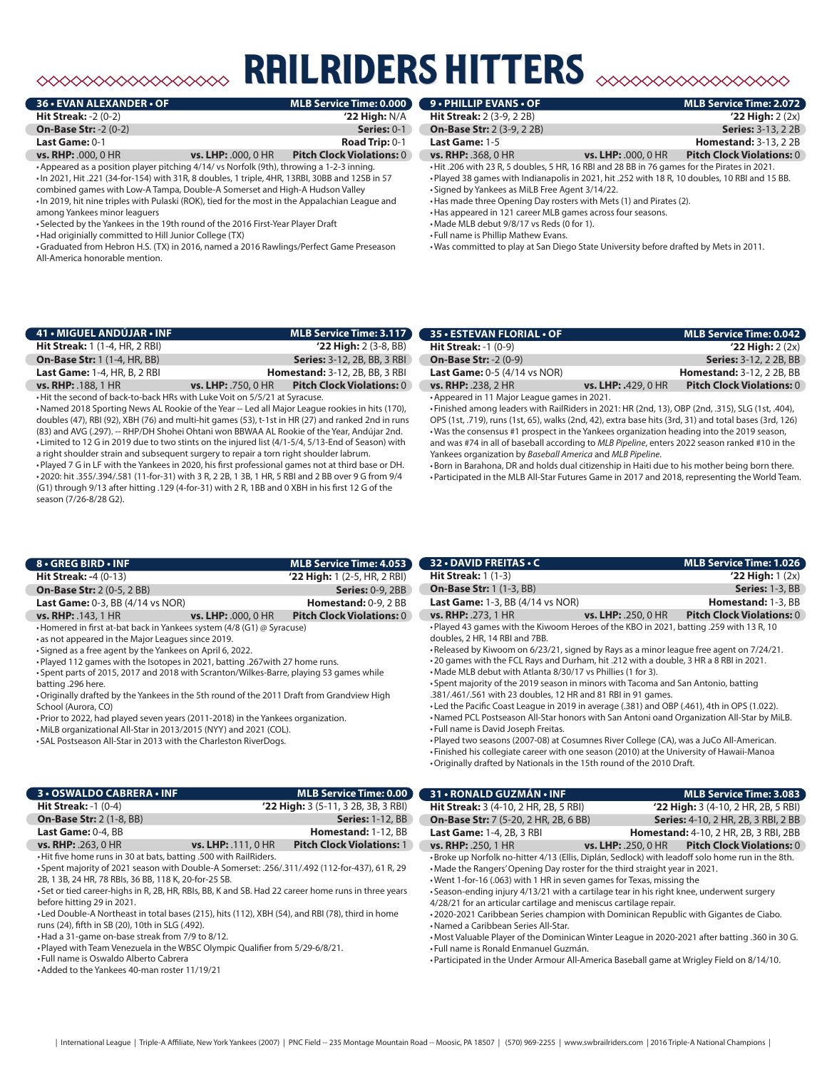# **RAILRIDERS HITTERS**

|                            | MLB Service Time: 0.000          |
|----------------------------|----------------------------------|
|                            | $'22$ High: N/A                  |
|                            | Series: 0-1                      |
|                            | <b>Road Trip: 0-1</b>            |
| <b>vs. LHP: .000, 0 HR</b> | <b>Pitch Clock Violations: 0</b> |
|                            |                                  |

•Appeared as a position player pitching 4/14/ vs Norfolk (9th), throwing a 1-2-3 inning. •In 2021, Hit .221 (34-for-154) with 31R, 8 doubles, 1 triple, 4HR, 13RBI, 30BB and 12SB in 57 combined games with Low-A Tampa, Double-A Somerset and High-A Hudson Valley •In 2019, hit nine triples with Pulaski (ROK), tied for the most in the Appalachian League and among Yankees minor leaguers

• Selected by the Yankees in the 19th round of the 2016 First-Year Player Draft

•Had originially committed to Hill Junior College (TX)

•Graduated from Hebron H.S. (TX) in 2016, named a 2016 Rawlings/Perfect Game Preseason All-America honorable mention.

| 9 • PHILLIP EVANS • OF           | <b>MLB Service Time: 2.072</b> |
|----------------------------------|--------------------------------|
| <b>Hit Streak:</b> 2 (3-9, 2 2B) | $'22$ High: $2(2x)$            |
|                                  |                                |

**On-Base Str:** 2 (3-9, 2 2B) **Series:** 3-13, 2 2B **Last Game:** 1-5 **Homestand:** 3-13, 2 2B

**vs. RHP:** .368, 0 HR **vs. LHP:** .000, 0 HR **Pitch Clock Violations:** 0 •Hit .206 with 23 R, 5 doubles, 5 HR, 16 RBI and 28 BB in 76 games for the Pirates in 2021.

•Played 38 games with Indianapolis in 2021, hit .252 with 18 R, 10 doubles, 10 RBI and 15 BB. • Signed by Yankees as MiLB Free Agent 3/14/22.

•Has made three Opening Day rosters with Mets (1) and Pirates (2).

•Has appeared in 121 career MLB games across four seasons.

•Made MLB debut 9/8/17 vs Reds (0 for 1).

• Full name is Phillip Mathew Evans.

•Was committed to play at San Diego State University before drafted by Mets in 2011.

| 41 • MIGUEL ANDÚJAR • INF                                                  |                            | <b>MLB Service Time: 3.117</b>        |  |
|----------------------------------------------------------------------------|----------------------------|---------------------------------------|--|
| <b>Hit Streak:</b> 1 (1-4, HR, 2 RBI)                                      |                            | $'22$ High: 2 (3-8, BB)               |  |
| <b>On-Base Str: 1 (1-4, HR, BB)</b>                                        |                            | <b>Series:</b> 3-12, 2B, BB, 3 RBI    |  |
| <b>Last Game: 1-4, HR, B, 2 RBI</b>                                        |                            | <b>Homestand: 3-12, 2B, BB, 3 RBI</b> |  |
| <b>vs. RHP: . 188, 1 HR</b>                                                | <b>vs. LHP:</b> .750, 0 HR | <b>Pitch Clock Violations: 0</b>      |  |
| . Hit the second of back-to-back HRs with Luke Voit on 5/5/21 at Syracuse. |                            |                                       |  |

•Named 2018 Sporting News AL Rookie of the Year -- Led all Major League rookies in hits (170), doubles (47), RBI (92), XBH (76) and multi-hit games (53), t-1st in HR (27) and ranked 2nd in runs (83) and AVG (.297). -- RHP/DH Shohei Ohtani won BBWAA AL Rookie of the Year, Andújar 2nd. • Limited to 12 G in 2019 due to two stints on the injured list (4/1-5/4, 5/13-End of Season) with a right shoulder strain and subsequent surgery to repair a torn right shoulder labrum.

•Played 7 G in LF with the Yankees in 2020, his first professional games not at third base or DH. •2020: hit .355/.394/.581 (11-for-31) with 3 R, 2 2B, 1 3B, 1 HR, 5 RBI and 2 BB over 9 G from 9/4 (G1) through 9/13 after hitting .129 (4-for-31) with 2 R, 1BB and 0 XBH in his first 12 G of the season (7/26-8/28 G2).

| <b>35 • ESTEVAN FLORIAL • OF</b>             |                     | MLB Service Time: 0.042          |
|----------------------------------------------|---------------------|----------------------------------|
| <b>Hit Streak: -1 <math>(0-9)</math></b>     |                     | $'22$ High: $2(2x)$              |
| <b>On-Base Str: -2 (0-9)</b>                 |                     | <b>Series: 3-12, 2 2B, BB</b>    |
| <b>Last Game:</b> $0-5$ (4/14 vs NOR)        |                     | <b>Homestand: 3-12, 2 2B, BB</b> |
| <b>vs. RHP: .238, 2 HR</b>                   | vs. LHP: .429, 0 HR | <b>Pitch Clock Violations: 0</b> |
| • Appeared in 11 Major League games in 2021. |                     |                                  |

• Finished among leaders with RailRiders in 2021: HR (2nd, 13), OBP (2nd, .315), SLG (1st, .404), OPS (1st, .719), runs (1st, 65), walks (2nd, 42), extra base hits (3rd, 31) and total bases (3rd, 126) •Was the consensus #1 prospect in the Yankees organization heading into the 2019 season, and was #74 in all of baseball according to *MLB Pipeline*, enters 2022 season ranked #10 in the Yankees organization by *Baseball America* and *MLB Pipeline*.

•Born in Barahona, DR and holds dual citizenship in Haiti due to his mother being born there. •Participated in the MLB All-Star Futures Game in 2017 and 2018, representing the World Team.

| 8 . GREG BIRD . INF                                                     |                            | MLB Service Time: 4.053          |
|-------------------------------------------------------------------------|----------------------------|----------------------------------|
| <b>Hit Streak: -4 <math>(0-13)</math></b>                               |                            | $'22$ High: 1 (2-5, HR, 2 RBI)   |
| <b>On-Base Str: 2 (0-5, 2 BB)</b>                                       |                            | <b>Series: 0-9, 2BB</b>          |
| <b>Last Game:</b> $0-3$ . BB $(4/14$ vs NOR)                            |                            | <b>Homestand:</b> $0-9$ , $2$ BB |
| <b>vs. RHP: .143, 1 HR</b>                                              | <b>vs. LHP: .000, 0 HR</b> | <b>Pitch Clock Violations: 0</b> |
| Homered in free at bat back in Vankoos system $(4/8/61) \odot 5$ washed |                            |                                  |

•Homered in first at-bat back in Yankees system (4/8 (G1) @ Syracuse)

• as not appeared in the Major Leagues since 2019.

• Signed as a free agent by the Yankees on April 6, 2022.

•Played 112 games with the Isotopes in 2021, batting .267with 27 home runs.

• Spent parts of 2015, 2017 and 2018 with Scranton/Wilkes-Barre, playing 53 games while batting .296 here.

•Originally drafted by the Yankees in the 5th round of the 2011 Draft from Grandview High School (Aurora, CO)

•Prior to 2022, had played seven years (2011-2018) in the Yankees organization.

•MiLB organizational All-Star in 2013/2015 (NYY) and 2021 (COL).

• SAL Postseason All-Star in 2013 with the Charleston RiverDogs.

| <b>3 • OSWALDO CABRERA • INF</b>         |                            | MLB Service Time: 0.00                |
|------------------------------------------|----------------------------|---------------------------------------|
| <b>Hit Streak: -1 <math>(0-4)</math></b> |                            | $'22$ High: 3 (5-11, 3 2B, 3B, 3 RBI) |
| <b>On-Base Str: 2 (1-8, BB)</b>          |                            | <b>Series: 1-12, BB</b>               |
| Last Game: 0-4, BB                       |                            | Homestand: 1-12, BB                   |
| <b>vs. RHP:</b> $.263.0$ HR              | <b>vs. LHP:</b> .111, 0 HR | <b>Pitch Clock Violations: 1</b>      |

•Hit five home runs in 30 at bats, batting .500 with RailRiders. • Spent majority of 2021 season with Double-A Somerset: .256/.311/.492 (112-for-437), 61 R, 29

2B, 1 3B, 24 HR, 78 RBIs, 36 BB, 118 K, 20-for-25 SB.

• Set or tied career-highs in R, 2B, HR, RBIs, BB, K and SB. Had 22 career home runs in three years before hitting 29 in 2021.

• Led Double-A Northeast in total bases (215), hits (112), XBH (54), and RBI (78), third in home runs (24), fifth in SB (20), 10th in SLG (.492).

•Had a 31-game on-base streak from 7/9 to 8/12.

•Played with Team Venezuela in the WBSC Olympic Qualifier from 5/29-6/8/21.

• Full name is Oswaldo Alberto Cabrera

•Added to the Yankees 40-man roster 11/19/21

### **32 • DAVID FREITAS • C MLB Service Time: 1.026 Hit Streak:** 1 (1-3) **'22 High:** 1 (2x) **On-Base Str:** 1 (1-3, BB) **Series:** 1-3, BB **Last Game:** 1-3, BB (4/14 vs NOR) **Homestand:** 1-3, BB **vs. RHP:** .273, 1 HR **vs. LHP:** .250, 0 HR **Pitch Clock Violations:** 0 •Played 43 games with the Kiwoom Heroes of the KBO in 2021, batting .259 with 13 R, 10 doubles, 2 HR, 14 RBI and 7BB.

•Released by Kiwoom on 6/23/21, signed by Rays as a minor league free agent on 7/24/21.

•20 games with the FCL Rays and Durham, hit .212 with a double, 3 HR a 8 RBI in 2021.

•Made MLB debut with Atlanta 8/30/17 vs Phillies (1 for 3).

• Spent majority of the 2019 season in minors with Tacoma and San Antonio, batting .381/.461/.561 with 23 doubles, 12 HR and 81 RBI in 91 games.

• Led the Pacific Coast League in 2019 in average (.381) and OBP (.461), 4th in OPS (1.022).

•Named PCL Postseason All-Star honors with San Antoni oand Organization All-Star by MiLB. • Full name is David Joseph Freitas.

•Played two seasons (2007-08) at Cosumnes River College (CA), was a JuCo All-American.

• Finished his collegiate career with one season (2010) at the University of Hawaii-Manoa

•Originally drafted by Nationals in the 15th round of the 2010 Draft.

| 31 • RONALD GUZMÁN • INF                                                       |                                                                                                                                                                                                                                                                                                                                                                                                                                                                                                                                                                                                                  | MLB Service Time: 3.083                                                                        |
|--------------------------------------------------------------------------------|------------------------------------------------------------------------------------------------------------------------------------------------------------------------------------------------------------------------------------------------------------------------------------------------------------------------------------------------------------------------------------------------------------------------------------------------------------------------------------------------------------------------------------------------------------------------------------------------------------------|------------------------------------------------------------------------------------------------|
| <b>Hit Streak:</b> 3 (4-10, 2 HR, 2B, 5 RBI)                                   |                                                                                                                                                                                                                                                                                                                                                                                                                                                                                                                                                                                                                  | '22 High: 3 (4-10, 2 HR, 2B, 5 RBI)                                                            |
| <b>On-Base Str:</b> 7 (5-20, 2 HR, 2B, 6 BB)                                   |                                                                                                                                                                                                                                                                                                                                                                                                                                                                                                                                                                                                                  | <b>Series:</b> 4-10, 2 HR, 2B, 3 RBI, 2 BB                                                     |
| <b>Last Game: 1-4, 2B, 3 RBI</b>                                               |                                                                                                                                                                                                                                                                                                                                                                                                                                                                                                                                                                                                                  | <b>Homestand:</b> 4-10, 2 HR, 2B, 3 RBI, 2BB                                                   |
| <b>vs. RHP: .250, 1 HR</b>                                                     |                                                                                                                                                                                                                                                                                                                                                                                                                                                                                                                                                                                                                  | vs. LHP: .250, 0 HR Pitch Clock Violations: 0                                                  |
| • Named a Caribbean Series All-Star.<br>• Full name is Ronald Enmanuel Guzmán. | •Broke up Norfolk no-hitter 4/13 (Ellis, Diplán, Sedlock) with leadoff solo home run in the 8th.<br>. Made the Rangers' Opening Day roster for the third straight year in 2021.<br>. Went 1-for-16 (.063) with 1 HR in seven games for Texas, missing the<br>. Season-ending injury 4/13/21 with a cartilage tear in his right knee, underwent surgery<br>4/28/21 for an articular cartilage and meniscus cartilage repair.<br>.2020-2021 Caribbean Series champion with Dominican Republic with Gigantes de Ciabo.<br>. Participated in the Under Armour All-America Baseball game at Wrigley Field on 8/14/10. | . Most Valuable Player of the Dominican Winter League in 2020-2021 after batting .360 in 30 G. |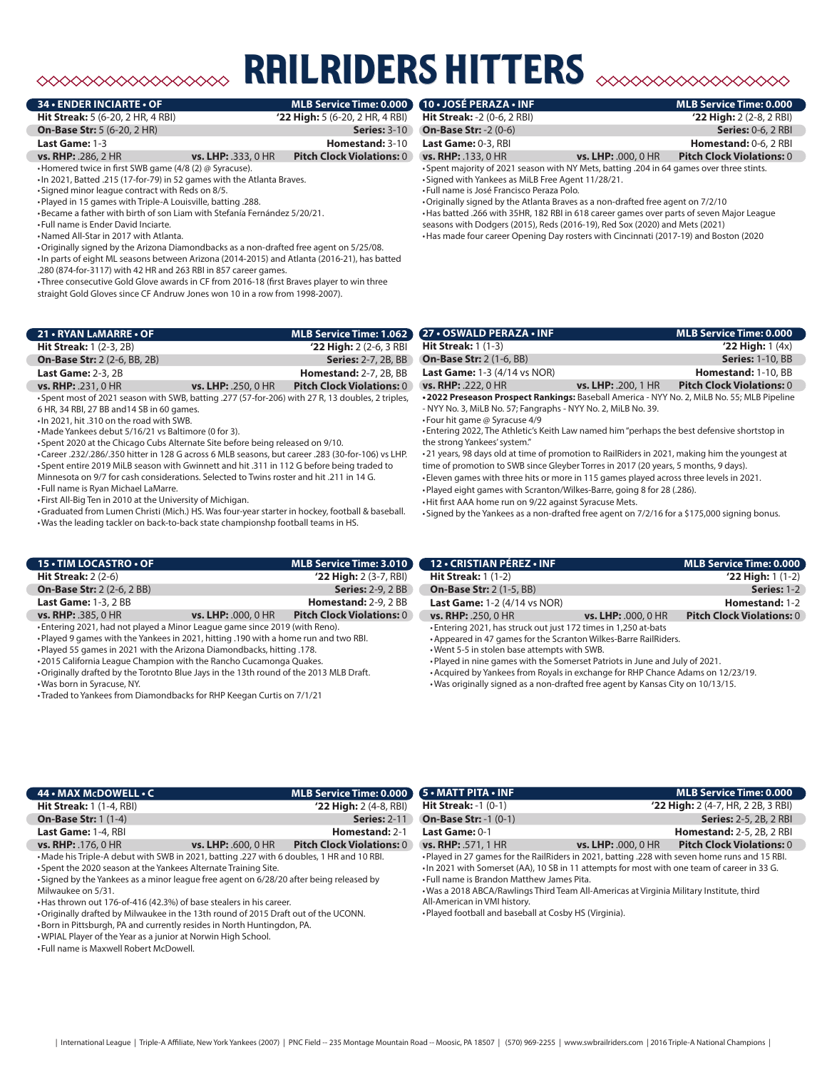# ◇◇◇◇◇◇◇◇◇◇◇◇◇◇◇◇◇

## **34 • ENDER INCIARTE • OF**

**Hit Streak:** 5 (6-20, 2 HR, 4 RBI) **'22 High:** 5 (6-20, 2 HR, 4 RBI)

**On-Base Str:** 5 (6-20, 2 HR) **Series:** 3-10

## **Last Game:** 1-3 **Homestand:** 3-10

**vs. RHP:** .286, 2 HR **vs. LHP:** .333, 0 HR **Pitch Clock Violations:** 0

•Homered twice in first SWB game (4/8 (2) @ Syracuse). •In 2021, Batted .215 (17-for-79) in 52 games with the Atlanta Braves.

• Signed minor league contract with Reds on 8/5.

•Played in 15 games with Triple-A Louisville, batting .288.

•Became a father with birth of son Liam with Stefanía Fernández 5/20/21.

• Full name is Ender David Inciarte.

•Named All-Star in 2017 with Atlanta.

•Originally signed by the Arizona Diamondbacks as a non-drafted free agent on 5/25/08.

•In parts of eight ML seasons between Arizona (2014-2015) and Atlanta (2016-21), has batted .280 (874-for-3117) with 42 HR and 263 RBI in 857 career games.

• Three consecutive Gold Glove awards in CF from 2016-18 (first Braves player to win three straight Gold Gloves since CF Andruw Jones won 10 in a row from 1998-2007).

| 21 • RYAN LAMARRE • OF              |                       | MLB Service Time: 1.062          |
|-------------------------------------|-----------------------|----------------------------------|
| <b>Hit Streak:</b> 1 (2-3, 2B)      |                       | $'22$ High: 2 (2-6, 3 RBI)       |
| <b>On-Base Str: 2 (2-6, BB, 2B)</b> |                       | <b>Series: 2-7, 2B, BB</b>       |
| <b>Last Game: 2-3, 2B</b>           |                       | <b>Homestand: 2-7, 2B, BB</b>    |
| <b>vs. RHP: .231, 0 HR</b>          | $vs.$ LHP: .250, 0 HR | <b>Pitch Clock Violations: 0</b> |

• Spent most of 2021 season with SWB, batting .277 (57-for-206) with 27 R, 13 doubles, 2 triples, 6 HR, 34 RBI, 27 BB and14 SB in 60 games.

•In 2021, hit .310 on the road with SWB.

•Made Yankees debut 5/16/21 vs Baltimore (0 for 3).

• Spent 2020 at the Chicago Cubs Alternate Site before being released on 9/10.

•Career .232/.286/.350 hitter in 128 G across 6 MLB seasons, but career .283 (30-for-106) vs LHP. • Spent entire 2019 MiLB season with Gwinnett and hit .311 in 112 G before being traded to Minnesota on 9/7 for cash considerations. Selected to Twins roster and hit .211 in 14 G.

• Full name is Ryan Michael LaMarre.

• First All-Big Ten in 2010 at the University of Michigan.

•Graduated from Lumen Christi (Mich.) HS. Was four-year starter in hockey, football & baseball.

•Was the leading tackler on back-to-back state championshp football teams in HS. **15 • TIM LOCASTRO • OF MLB Service Time: 3.010 Hit Streak:** 2 (2-6) **'22 High:** 2 (3-7, RBI)

**On-Base Str:** 2 (2-6, 2 BB) **Series:** 2-9, 2 BB **Last Game:** 1-3, 2 BB<br> **vs. LHP:** .000, 0 HR<br> **Pitch Clock Violations: 0**<br> **vs. LHP:** .000, 0 HR<br> **Pitch Clock Violations: 0 vs. RHP:** .385, 0 HR **vs. LHP:** .000, 0 HR **Pitch Clock Violations:** 0

• Entering 2021, had not played a Minor League game since 2019 (with Reno).

•Played 9 games with the Yankees in 2021, hitting .190 with a home run and two RBI.

•Played 55 games in 2021 with the Arizona Diamondbacks, hitting .178.

•2015 California League Champion with the Rancho Cucamonga Quakes. •Originally drafted by the Torotnto Blue Jays in the 13th round of the 2013 MLB Draft.

•Was born in Syracuse, NY.

• Traded to Yankees from Diamondbacks for RHP Keegan Curtis on 7/1/21

**Hit Streak:** -2 (0-6, 2 RBI) **'22 High:** 2 (2-8, 2 RBI) **On-Base Str:** -2 (0-6) **Series:** 0-6, 2 RBI **Last Game:** 0-3, RBI **Homestand:** 0-6, 2 RBI

**vs. RHP:** .133, 0 HR **vs. LHP:** .000, 0 HR **Pitch Clock Violations:** 0

• Spent majority of 2021 season with NY Mets, batting .204 in 64 games over three stints.

railriders hitters

• Signed with Yankees as MiLB Free Agent 11/28/21. • Full name is José Francisco Peraza Polo.

•Originally signed by the Atlanta Braves as a non-drafted free agent on 7/2/10 •Has batted .266 with 35HR, 182 RBI in 618 career games over parts of seven Major League seasons with Dodgers (2015), Reds (2016-19), Red Sox (2020) and Mets (2021)

•Has made four career Opening Day rosters with Cincinnati (2017-19) and Boston (2020

**10 • JOSÉ PERAZA • INF MLB Service Time: 0.000**

| 27 • OSWALD PERAZA • INF                                                                   |                            | MLB Service Time: 0.000          |
|--------------------------------------------------------------------------------------------|----------------------------|----------------------------------|
| <b>Hit Streak:</b> $1(1-3)$                                                                |                            | $'22$ High: 1 $(4x)$             |
| <b>On-Base Str: 2 (1-6, BB)</b>                                                            |                            | <b>Series: 1-10, BB</b>          |
| <b>Last Game:</b> $1-3$ (4/14 vs NOR)                                                      |                            | <b>Homestand: 1-10, BB</b>       |
| <b>vs. RHP: .222, 0 HR</b>                                                                 | <b>vs. LHP: .200, 1 HR</b> | <b>Pitch Clock Violations: 0</b> |
| .2022 Preseason Prospect Rankings: Baseball America - NYY No. 2, MiLB No. 55; MLB Pipeline |                            |                                  |
| - NYY No. 3, MiLB No. 57; Fangraphs - NYY No. 2, MiLB No. 39.                              |                            |                                  |

• Four hit game @ Syracuse 4/9

• Entering 2022, The Athletic's Keith Law named him "perhaps the best defensive shortstop in the strong Yankees' system."

•21 years, 98 days old at time of promotion to RailRiders in 2021, making him the youngest at time of promotion to SWB since Gleyber Torres in 2017 (20 years, 5 months, 9 days).

• Eleven games with three hits or more in 115 games played across three levels in 2021. •Played eight games with Scranton/Wilkes-Barre, going 8 for 28 (.286).

•Hit first AAA home run on 9/22 against Syracuse Mets.

• Signed by the Yankees as a non-drafted free agent on 7/2/16 for a \$175,000 signing bonus.

| 12 - CRISTIAN PÉREZ - INF                                       |                            | MLB Service Time: 0.000          |
|-----------------------------------------------------------------|----------------------------|----------------------------------|
| <b>Hit Streak:</b> $1(1-2)$                                     |                            | $'22$ High: 1 $(1-2)$            |
| <b>On-Base Str: 2 (1-5, BB)</b>                                 |                            | Series: 1-2                      |
| <b>Last Game: 1-2 (4/14 vs NOR)</b>                             |                            | Homestand: 1-2                   |
| <b>vs. RHP: .250, 0 HR</b>                                      | <b>vs. LHP: .000, 0 HR</b> | <b>Pitch Clock Violations: 0</b> |
| • Entering 2021, has struck out just 172 times in 1.250 at-bats |                            |                                  |

•Appeared in 47 games for the Scranton Wilkes-Barre RailRiders.

•Went 5-5 in stolen base attempts with SWB.

•Played in nine games with the Somerset Patriots in June and July of 2021.

•Acquired by Yankees from Royals in exchange for RHP Chance Adams on 12/23/19.

•Was originally signed as a non-drafted free agent by Kansas City on 10/13/15.

| 44 • MAX McDOWELL • C                                                                    |                            | MLB Service Time: 0.000 (5 · MATT PITA · INF |                                            | <b>MLB Service Time: 0.000</b>                                                                 |
|------------------------------------------------------------------------------------------|----------------------------|----------------------------------------------|--------------------------------------------|------------------------------------------------------------------------------------------------|
| <b>Hit Streak: 1 (1-4, RBI)</b>                                                          |                            | $'22$ High: $2(4-8, RBI)$                    | <b>Hit Streak: -1 (0-1)</b>                | '22 High: 2 (4-7, HR, 2 2B, 3 RBI)                                                             |
| <b>On-Base Str: 1 (1-4)</b>                                                              |                            | <b>Series: 2-11</b>                          | <b>On-Base Str: -1 (0-1)</b>               | <b>Series:</b> 2-5, 2B, 2 RBI                                                                  |
| Last Game: 1-4, RBI                                                                      |                            | Homestand: 2-1                               | Last Game: 0-1                             | <b>Homestand: 2-5, 2B, 2 RBI</b>                                                               |
| <b>vs. RHP:</b> .176, 0 HR                                                               | <b>vs. LHP: .600, 0 HR</b> | <b>Pitch Clock Violations: 0</b>             | <b>vs. RHP: .571, 1 HR</b>                 | <b>Pitch Clock Violations: 0</b><br><b>vs. LHP: .000, 0 HR</b>                                 |
| •Made his Triple-A debut with SWB in 2021, batting .227 with 6 doubles, 1 HR and 10 RBI. |                            |                                              |                                            | . Played in 27 games for the RailRiders in 2021, batting .228 with seven home runs and 15 RBI. |
| • Spent the 2020 season at the Yankees Alternate Training Site.                          |                            |                                              |                                            | In 2021 with Somerset (AA), 10 SB in 11 attempts for most with one team of career in 33 G.     |
| • Signed by the Yankees as a minor league free agent on 6/28/20 after being released by  |                            |                                              | • Full name is Brandon Matthew James Pita. |                                                                                                |
| Milwaukee on 5/31.                                                                       |                            |                                              |                                            | • Was a 2018 ABCA/Rawlings Third Team All-Americas at Virginia Military Institute, third       |

•Has thrown out 176-of-416 (42.3%) of base stealers in his career.

•Originally drafted by Milwaukee in the 13th round of 2015 Draft out of the UCONN.

•Born in Pittsburgh, PA and currently resides in North Huntingdon, PA.

•WPIAL Player of the Year as a junior at Norwin High School.

• Full name is Maxwell Robert McDowell.

•Was a 2018 ABCA/Rawlings Third Team All-Americas at Virginia Military Institute, third All-American in VMI history.

•Played football and baseball at Cosby HS (Virginia).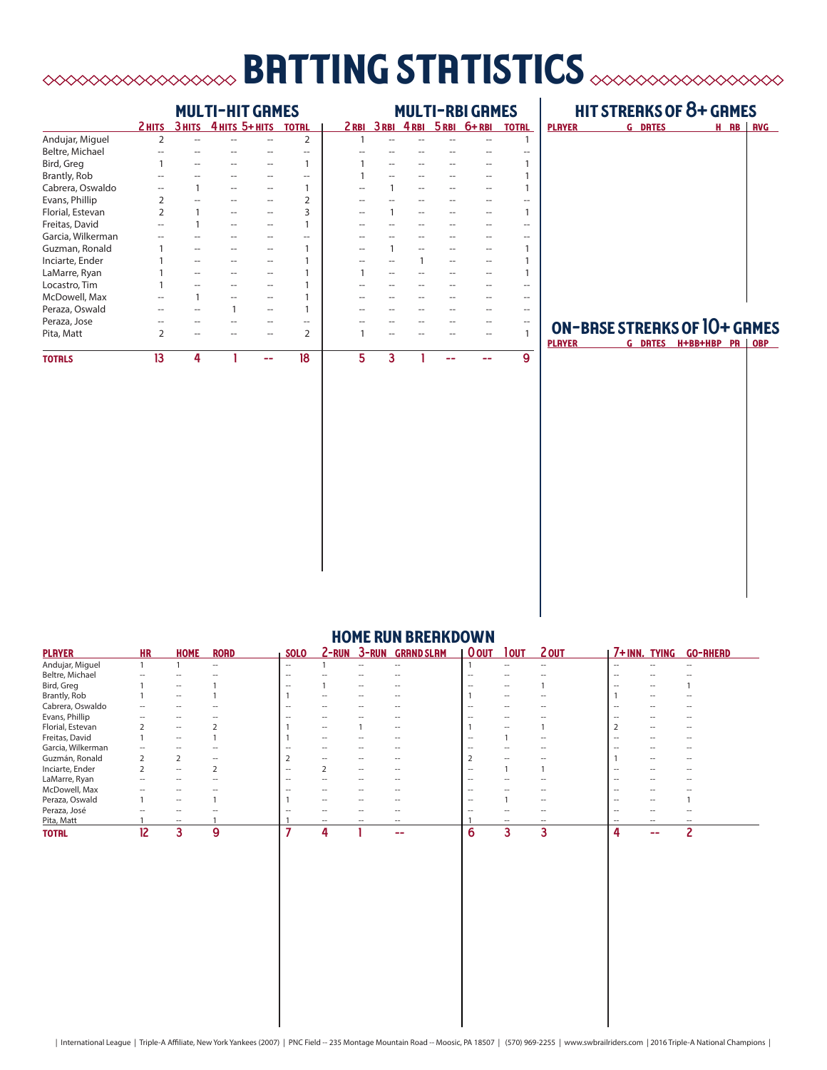# batting statistics

|                   | <b>MULTI-HIT GRMES</b> |   |                       |  |                |   | <b>MULTI-RBI GRMES</b> |  |  |                           |              |
|-------------------|------------------------|---|-----------------------|--|----------------|---|------------------------|--|--|---------------------------|--------------|
|                   | 2 HITS                 |   | 3 HITS 4 HITS 5+ HITS |  | <b>TOTRL</b>   |   |                        |  |  | 2RBI 3RBI 4RBI 5RBI 6+RBI | <b>TOTRL</b> |
| Andujar, Miguel   | $\overline{2}$         |   |                       |  | 2              |   |                        |  |  |                           |              |
| Beltre, Michael   |                        |   |                       |  |                |   |                        |  |  |                           |              |
| Bird, Greg        |                        |   |                       |  | 1              |   |                        |  |  |                           |              |
| Brantly, Rob      |                        |   |                       |  | --             |   |                        |  |  |                           |              |
| Cabrera, Oswaldo  |                        |   |                       |  | 1              |   |                        |  |  |                           |              |
| Evans, Phillip    | 2                      |   |                       |  | 2              |   |                        |  |  |                           |              |
| Florial, Estevan  | $\overline{2}$         |   |                       |  | 3              |   |                        |  |  |                           |              |
| Freitas, David    |                        |   |                       |  |                |   |                        |  |  |                           |              |
| Garcia, Wilkerman |                        |   |                       |  | --             |   |                        |  |  |                           |              |
| Guzman, Ronald    |                        |   |                       |  |                |   |                        |  |  |                           |              |
| Inciarte, Ender   |                        |   |                       |  |                |   |                        |  |  |                           |              |
| LaMarre, Ryan     |                        |   |                       |  |                |   |                        |  |  |                           |              |
| Locastro, Tim     |                        |   |                       |  |                |   |                        |  |  |                           |              |
| McDowell, Max     |                        |   |                       |  |                |   |                        |  |  |                           |              |
| Peraza, Oswald    |                        |   |                       |  |                |   |                        |  |  |                           |              |
| Peraza, Jose      |                        |   |                       |  | --             |   |                        |  |  |                           |              |
| Pita, Matt        | $\overline{2}$         |   |                       |  | $\overline{2}$ |   |                        |  |  |                           |              |
| <b>TOTRLS</b>     | 13                     | 4 |                       |  | 18             | 5 | 3                      |  |  |                           | 9            |

# hit streaks of 8+ games

| <b>PLAYER</b> | <b>G DRTES</b> |  | H RB RVG |
|---------------|----------------|--|----------|
|               |                |  |          |
|               |                |  |          |
|               |                |  |          |
|               |                |  |          |
|               |                |  |          |
|               |                |  |          |
|               |                |  |          |
|               |                |  |          |
|               |                |  |          |
|               |                |  |          |
|               |                |  |          |
|               |                |  |          |
|               |                |  |          |
|               |                |  |          |
|               |                |  |          |
|               |                |  |          |
|               |                |  |          |

# on-base streaks of 10+ games

**PLAYER G DATES H+BB+HBP PA OBP** 

| <b>HUME KUN BKEHKUUWN</b> |                          |                          |                          |                          |                          |              |                          |                          |             |                          |                          |                          |                     |
|---------------------------|--------------------------|--------------------------|--------------------------|--------------------------|--------------------------|--------------|--------------------------|--------------------------|-------------|--------------------------|--------------------------|--------------------------|---------------------|
| <b>PLAYER</b>             | <b>HR</b>                | <b>HOME</b>              | <b>RORD</b>              | <b>SOLO</b>              | 2-RUN                    | <b>3-RUN</b> | <b>GRAND SLAM</b>        | <u>  Oout</u>            | <b>TOUT</b> | <u>2 OUT</u>             | 7+INN. TYING             |                          | <b>GO-RHERD</b>     |
| Andujar, Miguel           |                          |                          | $\hspace{0.05cm}$        | $ -$                     |                          | $ -$         | $\overline{\phantom{a}}$ |                          | --          | $ -$                     | $\overline{\phantom{a}}$ | $\overline{\phantom{a}}$ |                     |
| Beltre, Michael           |                          |                          |                          | $\overline{\phantom{a}}$ |                          |              |                          |                          |             |                          |                          |                          |                     |
| Bird, Greg                |                          | $\overline{\phantom{a}}$ |                          | $-$                      |                          | $ -$         |                          | $-$                      | --          |                          |                          |                          |                     |
| Brantly, Rob              |                          | $\hspace{0.05cm}$        |                          |                          | $- -$                    |              |                          |                          | $-$         |                          |                          |                          |                     |
| Cabrera, Oswaldo          | $\overline{\phantom{a}}$ | --                       |                          | $\overline{\phantom{a}}$ | $\overline{\phantom{a}}$ |              | $\overline{\phantom{a}}$ | $\hspace{0.05cm}$        | --          | $\overline{\phantom{a}}$ | $\overline{\phantom{a}}$ |                          |                     |
| Evans, Phillip            |                          | $\hspace{0.05cm}$        |                          | $\overline{\phantom{a}}$ | $\overline{a}$           |              |                          | $\overline{\phantom{a}}$ | $- -$       |                          |                          |                          | -                   |
| Florial, Estevan          |                          | $\overline{\phantom{a}}$ |                          |                          | $ -$                     |              | $ -$                     |                          | $ -$        |                          |                          | $ -$                     | $\hspace{0.05cm} -$ |
| Freitas, David            |                          | $\hspace{0.05cm}$        |                          |                          | $-$                      |              |                          | $\overline{\phantom{a}}$ |             |                          |                          |                          |                     |
| Garcia, Wilkerman         |                          | --                       |                          |                          |                          |              |                          | $\sim$                   | --          |                          |                          |                          |                     |
| Guzmán, Ronald            |                          | 2                        | $\overline{\phantom{a}}$ |                          |                          |              |                          |                          |             |                          |                          |                          |                     |
| Inciarte, Ender           | $\overline{2}$           | $\overline{\phantom{a}}$ |                          | $\overline{\phantom{a}}$ |                          | $ -$         | $\overline{\phantom{a}}$ | $ -$                     |             |                          |                          |                          |                     |
| LaMarre, Ryan             | $\overline{\phantom{a}}$ | --                       |                          | $\overline{a}$           |                          |              |                          | $\hspace{0.05cm}$        | --          |                          |                          |                          | -                   |
| McDowell, Max             |                          | $\hspace{0.05cm}$        |                          | $\overline{a}$           | $\overline{\phantom{a}}$ |              | $\overline{\phantom{a}}$ | $\hspace{0.05cm}$        | --          |                          | $\overline{\phantom{a}}$ | $\overline{\phantom{a}}$ |                     |
| Peraza, Oswald            |                          | $\sim$                   |                          |                          | $ -$                     |              |                          | $ -$                     |             | $-$                      |                          | $-$                      |                     |
| Peraza, José              |                          |                          |                          |                          |                          |              |                          |                          |             |                          |                          |                          |                     |
| Pita, Matt                |                          | $-$                      |                          |                          | $-$                      |              | --                       |                          | --          | $- -$                    |                          |                          |                     |
| <b>TOTAL</b>              | 12                       | 3                        | 9                        |                          |                          |              | --                       | 6                        | 3           | 3                        |                          |                          |                     |

# home run breakdown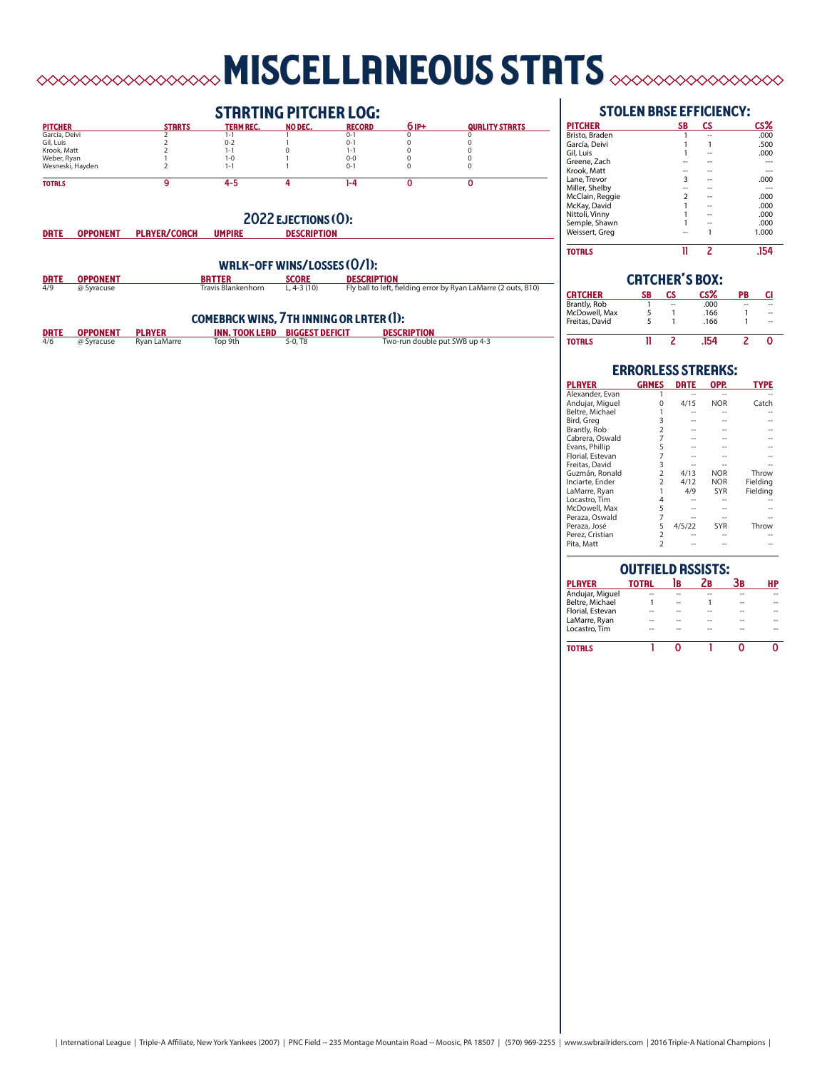# miscellaneous stats

# **STRRTING PITCHER LOG:**

| <b>PITCHER</b>   | <b>STRRTS</b> | <b>TERM REC.</b> | <b>NO DEC.</b> | <b>RECORD</b> | 6 IP+ | <b>QUALITY STRRTS</b> |
|------------------|---------------|------------------|----------------|---------------|-------|-----------------------|
| García, Deivi    |               |                  |                | $0 - 1$       |       |                       |
| Gil, Luis        |               | $0 - 2$          |                | $0 - 1$       |       |                       |
| Krook, Matt      |               |                  |                | 1-1           |       |                       |
| Weber, Ryan      |               | 1-0              |                | $0 - 0$       |       |                       |
| Wesneski, Hayden |               |                  |                | $0 - 1$       |       |                       |
| <b>TOTRLS</b>    |               | 4-5              |                | 1-4           |       |                       |

# 2022 EJECTIONS (0):<br>
UMPIRE DESCRIPTION

# WRLK-OFF WINS/LOSSES  $(O/I)$ :<br> **BRTTER** SCORE DESCRIP<br> **Example of the Manufacture CLA-3** (10) Fly ball to **DRTE OPPONENT BRITTER SCORE DESCRIPTION BATTER SCORE DESCRIPTION**<br>4/9 @ Syracuse Travis Blankenhorn L, 4-3 (10) Fly ball to left, fielding error by Ryan LaMarre (2 outs, B10)

DRTE OPPONENT PLAYER/COACH

# comeback wins, 7th inning or later (1):

|     | DRTE OPPONENT PLAYER |              | <b>INN. TOOK LEAD BIGGEST DEFICIT</b> |                       | <b>DESCRIPTION</b>            |
|-----|----------------------|--------------|---------------------------------------|-----------------------|-------------------------------|
| 4/6 | @ Syracuse           | Ryan LaMarre | Top 9th                               | $5-0.$ T <sub>8</sub> | Two-run double put SWB up 4-3 |

# stolen base efficiency:

| <b>PITCHER</b>  | SB             | СS | CS%   |
|-----------------|----------------|----|-------|
| Bristo, Braden  |                |    | .000  |
| García, Deivi   |                |    | .500  |
| Gil, Luis       |                |    | .000  |
| Greene, Zach    |                |    |       |
| Krook, Matt     |                |    |       |
| Lane. Trevor    | 3              |    | .000  |
| Miller, Shelby  |                |    |       |
| McClain, Reggie | $\overline{2}$ |    | .000  |
| McKay, David    |                |    | .000  |
| Nittoli, Vinny  |                |    | .000  |
| Semple, Shawn   |                |    | .000  |
| Weissert, Greg  |                |    | 1.000 |
| <b>TOTRLS</b>   |                |    |       |

| <b>CRTCHER'S BOX:</b> |    |    |      |    |    |  |  |  |  |
|-----------------------|----|----|------|----|----|--|--|--|--|
| CRTCHER               | SB | СS | CS%  | PB | CI |  |  |  |  |
| Brantly, Rob          |    | -- | .000 | -- |    |  |  |  |  |
| McDowell, Max         | 5  |    | .166 |    | -- |  |  |  |  |
| Freitas, David        | 5  |    | .166 |    | -- |  |  |  |  |
| TOTRLS                |    |    | 154  |    |    |  |  |  |  |

## **ERRORLESS STREAKS:**<br>GRMES DRTE OPP. player games date opp. type Alexander, Evan 1 -- -- -- Andujar, Miguel 0 4/15 NOR Catch Beltre, Michael 1 -- -- -- Bird, Greg 3 -- -- --<br>Brantly, Rob 2 -- -- -- --<br>Cabrera Oswald 7 -- -- --Brantly, Rob 2 -- -- -- Cabrera, Oswald 7 -- -- -- Evans, Phillip 5 -- -- -- Florial, Estevan 7 -- -- -- Freitas, David 3 -- -- -- Guzmán, Ronald 2 4/13 NOR Throw<br>
Inciarte, Ender 2 4/12 NOR Fielding<br>
LaMarre, Ryan 1 4/9 SYR Fielding Inciarte, Ender 2 4/12 NOR Fielding LaMarre, Ryan 1<br>Locastro, Tim 4 Locastro, Tim 4 -- -- -- McDowell, Max 5 -- -- -- Peraza, Oswald 7 -- -- -- Peraza, José 5 4/5/22 SYR Throw Perez, Cristian 2 -- -- -- Pita, Matt 2 -- -- --  $\overline{a}$

| <b>OUTFIELD ASSISTS:</b> |              |    |    |    |    |  |  |  |  |  |
|--------------------------|--------------|----|----|----|----|--|--|--|--|--|
| <b>PLAYER</b>            | <b>TOTRL</b> | 1B | Zв | Зв | НP |  |  |  |  |  |
| Andujar, Miguel          |              |    |    |    |    |  |  |  |  |  |
| Beltre, Michael          |              | -- |    | -- |    |  |  |  |  |  |
| Florial, Estevan         |              |    |    | -- |    |  |  |  |  |  |
| LaMarre, Ryan            |              |    |    |    |    |  |  |  |  |  |
| Locastro. Tim            |              |    |    |    |    |  |  |  |  |  |
| <b>TOTRLS</b>            |              |    |    |    |    |  |  |  |  |  |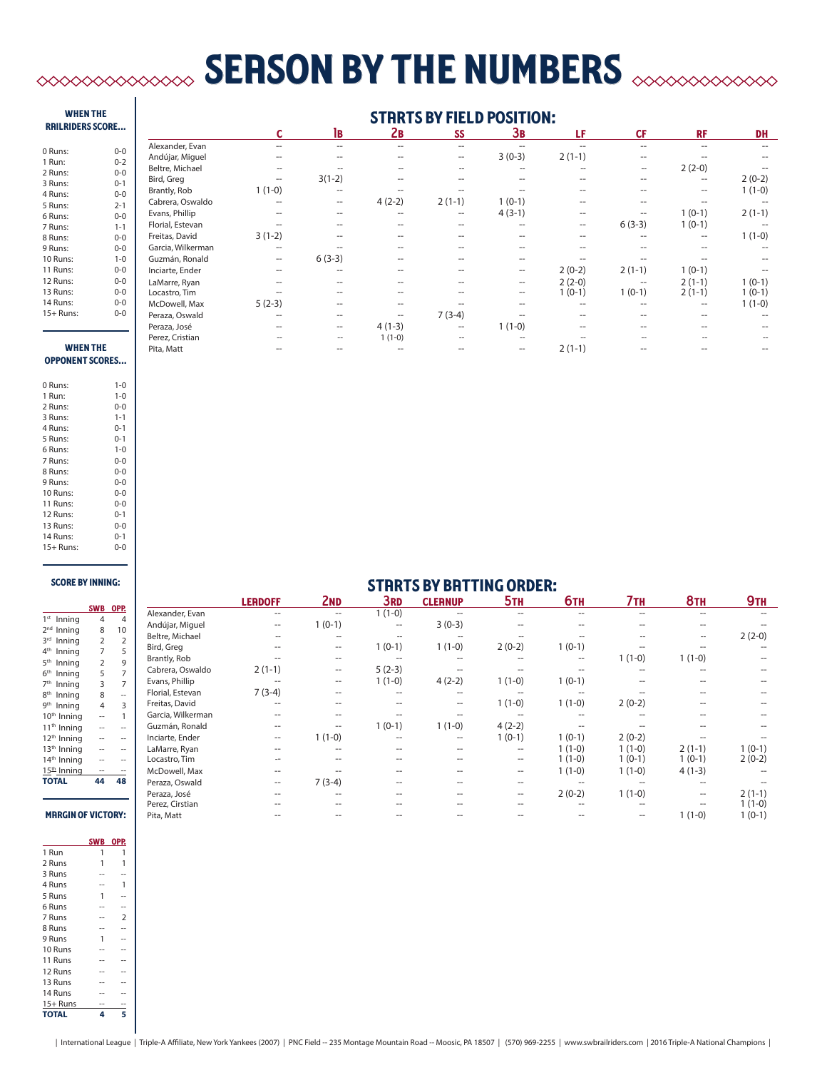# **SERSON BY THE NUMBERS**  $\infty$

## when the railriders score...

| 0 Runs:     | $0 - 0$ |
|-------------|---------|
| 1 Run:      | $0 - 2$ |
| 2 Runs:     | $0 - 0$ |
| 3 Runs:     | $0 - 1$ |
| 4 Runs:     | $0 - 0$ |
| 5 Runs:     | $2 - 1$ |
| 6 Runs:     | $0 - 0$ |
| 7 Runs:     | $1 - 1$ |
| 8 Runs:     | $0 - 0$ |
| 9 Runs:     | $0 - 0$ |
| 10 Runs:    | $1 - 0$ |
| 11 Runs:    | $0 - 0$ |
| 12 Runs:    | $0 - 0$ |
| 13 Runs:    | 0-0     |
| 14 Runs:    | 0-0     |
| $15+$ Runs: | 0-0     |

# **STRRTS BY FIELD POSITION:**

|            |                   |                | 1B                | Zв       | SS                       | Зв                | LF                | <b>CF</b>         | <b>RF</b>         | <b>DH</b> |
|------------|-------------------|----------------|-------------------|----------|--------------------------|-------------------|-------------------|-------------------|-------------------|-----------|
| $0-0$      | Alexander, Evan   | --             | $- -$             | --       | $- -$                    |                   |                   | $-$               |                   |           |
| $0 - 2$    | Andújar, Miguel   | --             | $- -$             |          | --                       | $3(0-3)$          | $2(1-1)$          | $\hspace{0.05cm}$ |                   |           |
| $0-0$      | Beltre, Michael   | $\overline{a}$ | $\hspace{0.05cm}$ |          | $\overline{\phantom{a}}$ | $-$               |                   | $\hspace{0.05cm}$ | $2(2-0)$          |           |
| $0 - 1$    | Bird, Greg        | --             | $3(1-2)$          |          | $\hspace{0.05cm}$        | --                |                   | $\hspace{0.05cm}$ | $\hspace{0.05cm}$ | $2(0-2)$  |
| $0-0$      | Brantly, Rob      | $1(1-0)$       | $- -$             |          |                          |                   | --                | $-$               | $\hspace{0.05cm}$ | $1(1-0)$  |
| $2 - 1$    | Cabrera, Oswaldo  |                | $\hspace{0.05cm}$ | $4(2-2)$ | $2(1-1)$                 | $1(0-1)$          |                   |                   |                   |           |
| $0-0$      | Evans, Phillip    |                |                   |          | $\hspace{0.05cm}$        | $4(3-1)$          |                   |                   | $1(0-1)$          | $2(1-1)$  |
| $1 - 1$    | Florial, Estevan  |                |                   |          | $- -$                    | --                | $\hspace{0.05cm}$ | $6(3-3)$          | $1(0-1)$          |           |
| $0-0$      | Freitas, David    | $3(1-2)$       |                   |          | $-$                      |                   |                   |                   | $- -$             | $1(1-0)$  |
| $0-0$      | Garcia, Wilkerman | --             |                   |          |                          |                   |                   |                   |                   |           |
| $1 - 0$    | Guzmán, Ronald    | $\sim$         | $6(3-3)$          |          |                          |                   |                   |                   |                   |           |
| $0-0$      | Inciarte, Ender   | --             | --                |          |                          | $\hspace{0.05cm}$ | $2(0-2)$          | $2(1-1)$          | $1(0-1)$          |           |
| $0-0$      | LaMarre, Ryan     |                |                   |          |                          | $\hspace{0.05cm}$ | $2(2-0)$          |                   | $2(1-1)$          | $1(0-1)$  |
| $0-0$      | Locastro, Tim     |                |                   |          |                          | --                | $1(0-1)$          | $1(0-1)$          | $2(1-1)$          | $1(0-1)$  |
| $0-0$      | McDowell, Max     | $5(2-3)$       |                   |          |                          |                   |                   |                   |                   | $1(1-0)$  |
| $0-0$      | Peraza, Oswald    | --             | --                |          | $7(3-4)$                 |                   |                   |                   |                   |           |
|            | Peraza, José      | --             | $\hspace{0.05cm}$ | $4(1-3)$ | $\hspace{0.05cm}$        | $1(1-0)$          |                   |                   |                   |           |
|            | Perez, Cristian   |                | $\hspace{0.05cm}$ | $1(1-0)$ |                          | $\overline{a}$    |                   |                   |                   |           |
| <b>THE</b> | Pita, Matt        |                | --                |          |                          | --                | $2(1-1)$          |                   |                   |           |

### **WHEN** opponent scores...

| 0 Runs:     | $1 - 0$ |
|-------------|---------|
| 1 Run:      | $1 - 0$ |
| 2 Runs:     | $0 - 0$ |
| 3 Runs:     | $1 - 1$ |
| 4 Runs:     | $0 - 1$ |
| 5 Runs:     | $0 - 1$ |
| 6 Runs:     | $1 - 0$ |
| 7 Runs:     | $0 - 0$ |
| 8 Runs:     | $0 - 0$ |
| 9 Runs:     | $0 - 0$ |
| 10 Runs:    | $0 - 0$ |
| 11 Runs:    | $0 - 0$ |
| 12 Runs:    | $0 - 1$ |
| 13 Runs:    | $0 - 0$ |
| 14 Runs:    | $0 - 1$ |
| $15+$ Runs: | $0 - 0$ |

## score by inning:

|                            | SWB            | OPP.           |
|----------------------------|----------------|----------------|
| 1 <sup>st</sup><br>Inning  | 4              | 4              |
| 2 <sub>nd</sub><br>Inning  | 8              | 10             |
| 3rd<br>Inning              | 2              | $\overline{2}$ |
| $4^{\text{th}}$<br>Inning  | $\overline{7}$ | 5              |
| 5 <sup>th</sup><br>Inning  | $\overline{2}$ | 9              |
| 6 <sup>th</sup><br>Inning  | 5              | $\overline{7}$ |
| 7 <sup>th</sup><br>Inning  | 3              | $\overline{7}$ |
| 8 <sup>th</sup><br>Inning  | 8              |                |
| gth<br>Inning              | 4              | 3              |
| 10 <sup>th</sup><br>Inning |                | 1              |
| 11 <sup>th</sup> Inning    |                |                |
| 12 <sup>th</sup> Inning    |                |                |
| 13 <sup>th</sup> Inning    |                |                |
| 14 <sup>th</sup> Inning    |                |                |
| $15th$ Inning              |                |                |
| <b>TOTAL</b>               |                | 48             |
|                            |                |                |
|                            |                |                |

# **MRRGIN OF VICTORY:**

|              | <b>SWB</b> | OPP.           |
|--------------|------------|----------------|
| 1 Run        | 1          | 1              |
| 2 Runs       | 1          | 1              |
| 3 Runs       |            |                |
| 4 Runs       |            | 1              |
| 5 Runs       | 1          |                |
| 6 Runs       |            |                |
| 7 Runs       |            | $\overline{2}$ |
| 8 Runs       |            |                |
| 9 Runs       | 1          |                |
| 10 Runs      |            |                |
| 11 Runs      |            |                |
| 12 Runs      |            |                |
| 13 Runs      |            |                |
| 14 Runs      |            |                |
| $15+$ Runs   |            |                |
| <b>TOTAL</b> | 4          | 5              |

|                     | <b>LERDOFF</b> | 2 <sub>ND</sub>          | <b>3RD</b>                                          | <b>CLEANUP</b> | 5 <sub>TH</sub> | <b>6тн</b> | 7тн      | 8 <sub>TH</sub> | 9 <sub>TH</sub> |
|---------------------|----------------|--------------------------|-----------------------------------------------------|----------------|-----------------|------------|----------|-----------------|-----------------|
| Alexander, Evan     |                |                          | $1(1-0)$                                            |                |                 |            |          |                 | --              |
| Andújar, Miguel     | --             | $1(0-1)$                 | $\hspace{0.05cm} -\hspace{0.05cm} -\hspace{0.05cm}$ | $3(0-3)$       |                 |            |          |                 |                 |
| Beltre, Michael     |                | $\overline{\phantom{a}}$ |                                                     |                |                 |            |          |                 | $2(2-0)$        |
| Bird, Greg          |                | $- -$                    | $1(0-1)$                                            | $1(1-0)$       | $2(0-2)$        | $1(0-1)$   |          |                 |                 |
| <b>Brantly, Rob</b> |                | --                       |                                                     |                |                 | $- -$      | $1(1-0)$ | $1(1-0)$        | --              |
| Cabrera, Oswaldo    | $2(1-1)$       | --                       | $5(2-3)$                                            |                |                 |            |          |                 | --              |
| Evans, Phillip      |                | $- -$                    | $1(1-0)$                                            | $4(2-2)$       | $1(1-0)$        | $1(0-1)$   |          |                 | --              |
| Florial, Estevan    | $7(3-4)$       |                          |                                                     |                |                 |            |          |                 | --              |
| Freitas, David      |                |                          |                                                     |                | $1(1-0)$        | $1(1-0)$   | $2(0-2)$ |                 | --              |
| Garcia, Wilkerman   |                |                          |                                                     |                |                 |            |          |                 | --              |
| Guzmán, Ronald      |                |                          | $1(0-1)$                                            | $1(1-0)$       | $4(2-2)$        |            |          |                 |                 |
| Inciarte, Ender     |                | $1(1-0)$                 |                                                     |                | $1(0-1)$        | $1(0-1)$   | $2(0-2)$ |                 |                 |
| LaMarre, Ryan       |                |                          |                                                     |                |                 | $1(1-0)$   | $1(1-0)$ | $2(1-1)$        | $1(0-1)$        |
| Locastro, Tim       |                |                          |                                                     |                |                 | $1(1-0)$   | $1(0-1)$ | $1(0-1)$        | $2(0-2)$        |
| McDowell, Max       |                |                          |                                                     |                | --              | $1(1-0)$   | $1(1-0)$ | $4(1-3)$        |                 |
| Peraza, Oswald      | --             | $7(3-4)$                 | --                                                  |                |                 |            |          |                 |                 |
| Peraza, José        |                |                          |                                                     |                | --              | $2(0-2)$   | $1(1-0)$ |                 | $2(1-1)$        |
| Perez, Cirstian     |                |                          |                                                     |                |                 |            |          |                 | $1(1-0)$        |

Pita, Matt -- -- -- -- -- -- -- 1 (1-0) 1 (0-1)

**STRRTS BY BRTTING ORDER:**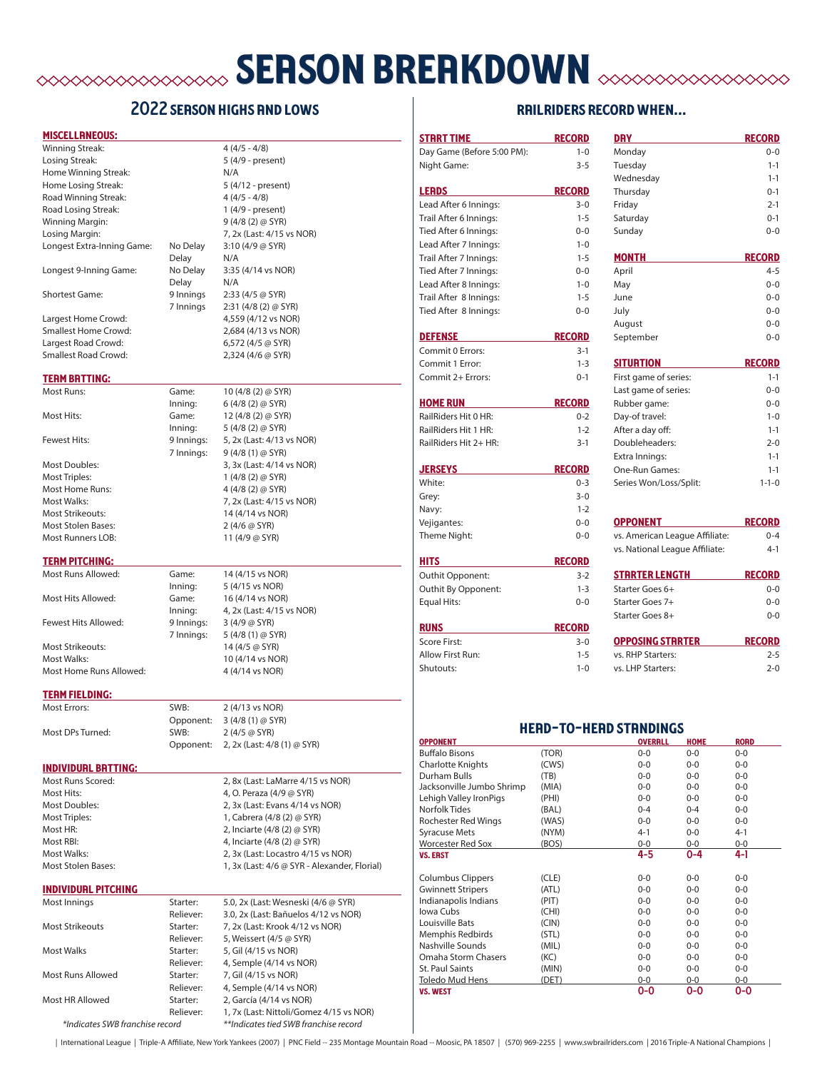# **SERSON BREAKDOWN** SESSON

# 2022 season highs and lows

## miscellaneous:

| Winning Streak:            |           | $4(4/5 - 4/8)$             |
|----------------------------|-----------|----------------------------|
| Losing Streak:             |           | 5 (4/9 - present)          |
| Home Winning Streak:       |           | N/A                        |
| Home Losing Streak:        |           | 5 (4/12 - present)         |
| Road Winning Streak:       |           | $4(4/5 - 4/8)$             |
| Road Losing Streak:        |           | 1 (4/9 - present)          |
| Winning Margin:            |           | $9(4/8(2)$ @ SYR)          |
| Losing Margin:             |           | 7, 2x (Last: 4/15 vs NOR)  |
| Longest Extra-Inning Game: | No Delay  | 3:10 (4/9 @ SYR)           |
|                            | Delay     | N/A                        |
| Longest 9-Inning Game:     | No Delay  | 3:35 (4/14 vs NOR)         |
|                            | Delay     | N/A                        |
| Shortest Game:             | 9 Innings | $2:33(4/5)$ @ SYR)         |
|                            | 7 Innings | $2:31(4/8(2) \oslash SYR)$ |
| Largest Home Crowd:        |           | 4,559 (4/12 vs NOR)        |
| Smallest Home Crowd:       |           | 2,684 (4/13 vs NOR)        |
| Largest Road Crowd:        |           | 6,572 (4/5 @ SYR)          |
| Smallest Road Crowd:       |           | 2,324 (4/6 @ SYR)          |
| <b>TERM BRTTING:</b>       |           |                            |
| Most Runs:                 | Game:     | 10 (4/8 (2) @ SYR)         |
|                            |           |                            |

Most Triples: 1 (4/8 (2) @ SYR) Most Home Runs: 4 (4/8 (2) @ SYR) Most Stolen Bases: 2 (4/6 @ SYR)

# /8 (2) @ SYR) Inning: 6 (4/8 (2) @ SYR) Most Hits: Game: 12 (4/8 (2) @ SYR) Inning: 5 (4/8 (2) @ SYR) Fewest Hits: 9 Innings: 5, 2x (Last: 4/13 vs NOR) 7 Innings: 9 (4/8 (1) @ SYR) Most Doubles: 3, 3x (Last: 4/14 vs NOR) Most Walks: 7, 2x (Last: 4/15 vs NOR) Most Strikeouts: 14 (4/14 vs NOR) Most Runners LOB: 11 (4/9 @ SYR)

# **TERM PITCHING:**

Most Hits Allowed: Game: 16 (4/14 vs NOR) Fewest Hits Allowed: 9 Innings: 3 (4/9 @ SYR) Most Strikeouts: 14 (4/5 @ SYR) Most Walks: 10 (4/14 vs NOR)

Most Runs Allowed: Game: 14 (4/15 vs NOR)<br>Inning: 5 (4/15 vs NOR) 5 (4/15 vs NOR) Inning: 4, 2x (Last: 4/15 vs NOR) 7 Innings: 5 (4/8 (1) @ SYR) Most Home Runs Allowed: 4 (4/14 vs NOR)

### **TERM FIELDING:**

| Most Errors:     | SWB:      | 2 (4/13 vs NOR)             |
|------------------|-----------|-----------------------------|
|                  | Opponent: | $3(4/8(1)$ @ SYR)           |
| Most DPs Turned: | SWB:      | $2(4/5 \omega$ SYR)         |
|                  | Opponent: | 2, 2x (Last: 4/8 (1) @ SYR) |

### individual batting:

Most Runs Scored: 2, 8x (Last: LaMarre 4/15 vs NOR) Most Hits: 4, O. Peraza (4/9 @ SYR) Most Doubles: 2, 3x (Last: Evans 4/14 vs NOR) Most Triples: 1, Cabrera (4/8 (2) @ SYR) Most HR: 2, Inciarte (4/8 (2) @ SYR) Most RBI: 4, Inciarte (4/8 (2) @ SYR) Most Walks: 2, 3x (Last: Locastro 4/15 vs NOR) Most Stolen Bases: 1, 3x (Last: 4/6 @ SYR - Alexander, Florial)

## individual pitching

| Most Innings                    | Starter:  | 5.0, 2x (Last: Wesneski (4/6 @ SYR)     |
|---------------------------------|-----------|-----------------------------------------|
|                                 | Reliever: | 3.0, 2x (Last: Bañuelos 4/12 vs NOR)    |
| Most Strikeouts                 | Starter:  | 7, 2x (Last: Krook 4/12 vs NOR)         |
|                                 | Reliever: | 5, Weissert (4/5 @ SYR)                 |
| Most Walks                      | Starter:  | 5, Gil (4/15 vs NOR)                    |
|                                 | Reliever: | 4, Semple (4/14 vs NOR)                 |
| Most Runs Allowed               | Starter:  | 7, Gil (4/15 vs NOR)                    |
|                                 | Reliever: | 4, Semple (4/14 vs NOR)                 |
| Most HR Allowed                 | Starter:  | 2, García (4/14 vs NOR)                 |
|                                 | Reliever: | 1, 7x (Last: Nittoli/Gomez 4/15 vs NOR) |
| *Indicates SWB franchise record |           | **Indicates tied SWB franchise record   |

# railriders record when... STRRT TIME RECORD DRY RECORD RECORD

| Day Game (Before 5:00 PM):                  | $1 - 0$            | Monday                                                           |                     |                | $0 - 0$     |
|---------------------------------------------|--------------------|------------------------------------------------------------------|---------------------|----------------|-------------|
| Night Game:                                 | $3 - 5$            | Tuesday                                                          |                     |                | $1 - 1$     |
|                                             |                    | Wednesday                                                        |                     |                | $1 - 1$     |
| <b>LERDS</b>                                | <b>RECORD</b>      | Thursday                                                         |                     |                | $0 - 1$     |
| Lead After 6 Innings:                       | $3 - 0$            | Friday                                                           |                     |                | $2 - 1$     |
| Trail After 6 Innings:                      | $1 - 5$            | Saturday                                                         |                     |                | $0 - 1$     |
| Tied After 6 Innings:                       | $0 - 0$            | Sunday                                                           |                     |                | $0 - 0$     |
| Lead After 7 Innings:                       | $1 - 0$            |                                                                  |                     |                |             |
| Trail After 7 Innings:                      | $1 - 5$            | <b>MONTH</b>                                                     |                     | <b>RECORD</b>  |             |
| Tied After 7 Innings:                       | $0 - 0$            | April                                                            |                     |                | $4 - 5$     |
| Lead After 8 Innings:                       | $1 - 0$            | May                                                              |                     |                | $0 - 0$     |
| Trail After 8 Innings:                      | $1 - 5$            | June                                                             |                     |                | $0 - 0$     |
| Tied After 8 Innings:                       | $0 - 0$            | July                                                             |                     |                | $0 - 0$     |
|                                             |                    | August                                                           |                     |                | $0 - 0$     |
| <b>DEFENSE</b>                              | <b>RECORD</b>      | September                                                        |                     |                | $0 - 0$     |
| Commit 0 Errors:                            | $3 - 1$            |                                                                  |                     |                |             |
| Commit 1 Error:                             | $1 - 3$            | <b>SITURTION</b>                                                 |                     | <b>RECORD</b>  |             |
| Commit 2+ Errors:                           | $0 - 1$            | First game of series:                                            |                     |                | $1 - 1$     |
|                                             |                    | Last game of series:                                             |                     |                | $0 - 0$     |
| <b>HOME RUN</b>                             | <b>RECORD</b>      | Rubber game:                                                     |                     |                | $0 - 0$     |
| RailRiders Hit 0 HR:                        | $0 - 2$            | Day-of travel:                                                   |                     |                | $1 - 0$     |
| RailRiders Hit 1 HR:                        | $1 - 2$            | After a day off:                                                 |                     |                | $1 - 1$     |
| RailRiders Hit 2+ HR:                       | $3-1$              | Doubleheaders:                                                   |                     |                | $2 - 0$     |
|                                             |                    | Extra Innings:                                                   |                     |                | $1 - 1$     |
| <b>JERSEYS</b>                              | <b>RECORD</b>      | One-Run Games:                                                   |                     |                | $1 - 1$     |
| White:                                      | $0 - 3$            | Series Won/Loss/Split:                                           |                     |                | $1 - 1 - 0$ |
| Grey:                                       | $3 - 0$<br>$1 - 2$ |                                                                  |                     |                |             |
| Navy:                                       |                    | <b>OPPONENT</b>                                                  |                     | <b>RECORD</b>  |             |
| Vejigantes:<br>Theme Night:                 | $0 - 0$<br>$0 - 0$ |                                                                  |                     |                | $0 - 4$     |
|                                             |                    | vs. American League Affiliate:<br>vs. National League Affiliate: |                     |                | $4-1$       |
| <b>HITS</b>                                 | <b>RECORD</b>      |                                                                  |                     |                |             |
| Outhit Opponent:                            | $3-2$              | <b>STRRTER LENGTH</b>                                            |                     | <b>RECORD</b>  |             |
| Outhit By Opponent:                         | $1 - 3$            | Starter Goes 6+                                                  |                     |                | $0 - 0$     |
| <b>Equal Hits:</b>                          | $0 - 0$            | Starter Goes 7+                                                  |                     |                | $0 - 0$     |
|                                             |                    | Starter Goes 8+                                                  |                     |                | $0 - 0$     |
| <b>RUNS</b>                                 | <b>RECORD</b>      |                                                                  |                     |                |             |
| Score First:                                | $3 - 0$            | <b>OPPOSING STRRTER</b>                                          |                     | <b>RECORD</b>  |             |
| Allow First Run:                            | $1 - 5$            | vs. RHP Starters:                                                |                     |                | $2 - 5$     |
| Shutouts:                                   | $1 - 0$            | vs. LHP Starters:                                                |                     |                | $2 - 0$     |
|                                             |                    | <b>HERD-TO-HERD STRNDINGS</b>                                    |                     |                |             |
| <b>OPPONENT</b>                             |                    |                                                                  | <b>OVERALL HOME</b> | <b>RORD</b>    |             |
| Buffalo Bisons                              | (TOR)              | 0-0<br>$0-0$                                                     | 0-0<br>$0-0$        | 0-0<br>$0-0$   |             |
| Charlotte Knights<br>Durham Bulls           | (CWS)<br>(TB)      | $0-0$                                                            | $0-0$               | $0-0$          |             |
| Jacksonville Jumbo Shrimp                   | (MIA)              | $0-0$                                                            | $0-0$               | $0-0$          |             |
| Lehigh Valley IronPigs                      | (PHI)              | $0-0$                                                            | $0-0$               | $0-0$          |             |
| Norfolk Tides                               | (BAL)              | $0 - 4$                                                          | $0 - 4$             | $0-0$          |             |
| <b>Rochester Red Wings</b>                  | (WAS)              | $0-0$                                                            | $0-0$               | $0-0$          |             |
| <b>Syracuse Mets</b>                        | (NYM)              | $4 - 1$                                                          | $0-0$               | $4 - 1$        |             |
| <b>Worcester Red Sox</b><br><b>VS. ERST</b> | (BOS)              | $0-0$<br>4-5                                                     | $0-0$<br>0-4        | $0-0$<br>4-1   |             |
|                                             |                    |                                                                  |                     |                |             |
| <b>Columbus Clippers</b>                    | (CLE)              | 0-0                                                              | $0-0$               | $0-0$          |             |
| <b>Gwinnett Stripers</b>                    | (ATL)              | 0-0                                                              | $0-0$               | $0-0$          |             |
| Indianapolis Indians                        | (PIT)              | 0-0                                                              | $0-0$               | $0-0$          |             |
| Iowa Cubs                                   | (CHI)              | 0-0                                                              | 0-0                 | $0-0$          |             |
| Louisville Bats                             | (CIN)              | $0-0$                                                            | $0-0$               | $0-0$          |             |
| Memphis Redbirds                            | (STL)              | $0-0$                                                            | $0-0$               | $0-0$          |             |
| Nashville Sounds<br>Omaha Storm Chasers     | (MIL)              | 0-0                                                              | $0-0$               | $0-0$          |             |
|                                             |                    |                                                                  |                     |                |             |
|                                             | (KC)               | $0-0$                                                            | $0-0$               | $0-0$          |             |
| St. Paul Saints<br><b>Toledo Mud Hens</b>   | (MIN)<br>(DET)     | $0-0$<br>$0-0$                                                   | $0-0$<br>$0-0$      | $0-0$<br>$0-0$ |             |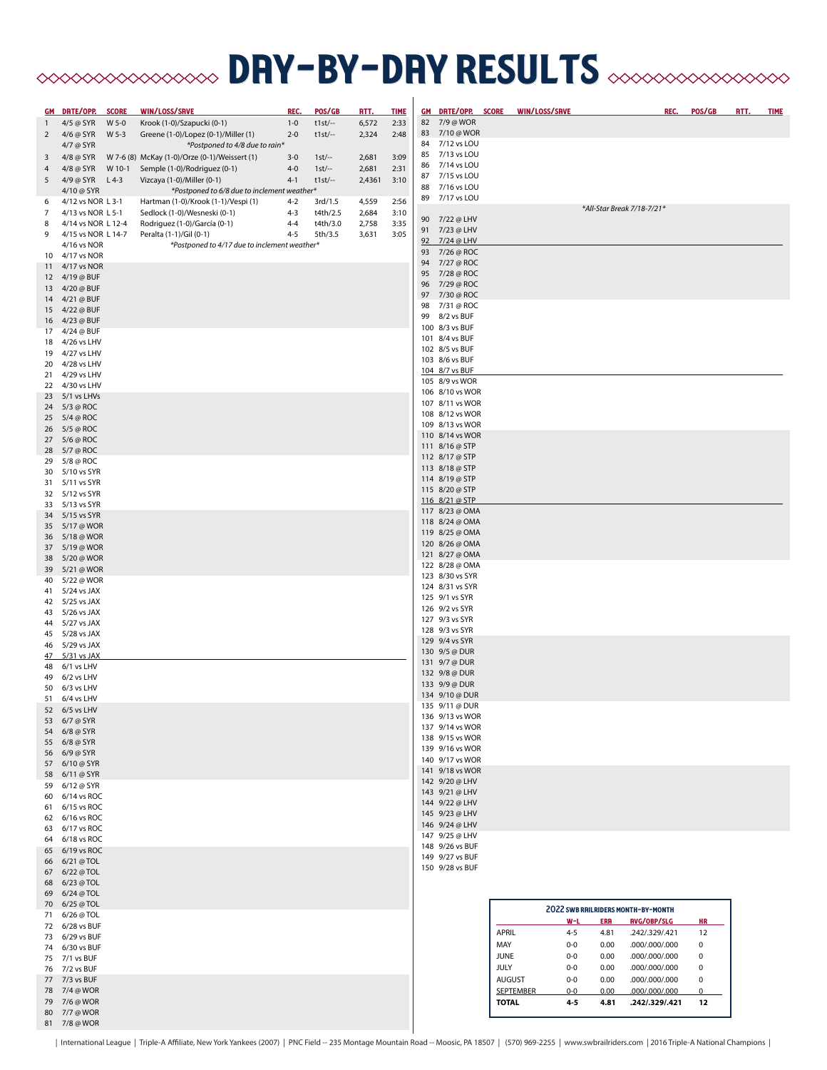# **BRY-DRY RESULTS** AND AN ARESOLYS

|              | GM DRTE/OPP.                           | <b>SCORE</b> | WIN/LOSS/SRVE                                                       | REC.               | POS/GB              | <u>RTT.</u>    | <b>TIME</b>  |    | GM DRTE/OPP. SCORE                 |              | WIN/LOSS/SRVE             |            | REC.                                      |             | POS/GB    | <u>RTT.</u> | <b>TIME</b> |
|--------------|----------------------------------------|--------------|---------------------------------------------------------------------|--------------------|---------------------|----------------|--------------|----|------------------------------------|--------------|---------------------------|------------|-------------------------------------------|-------------|-----------|-------------|-------------|
| $\mathbf{1}$ | 4/5 @ SYR                              | W 5-0        | Krook (1-0)/Szapucki (0-1)                                          | $1 - 0$            | $t1st$ --           | 6,572          | 2:33         |    | 82 7/9 @ WOR                       |              |                           |            |                                           |             |           |             |             |
| 2            | 4/6 @ SYR                              | W 5-3        | Greene (1-0)/Lopez (0-1)/Miller (1)                                 | $2 - 0$            | $t1st$ --           | 2,324          | 2:48         |    | 83 7/10 @ WOR                      |              |                           |            |                                           |             |           |             |             |
|              | 4/7 @ SYR                              |              | *Postponed to 4/8 due to rain*                                      |                    |                     |                |              |    | 84 7/12 vs LOU                     |              |                           |            |                                           |             |           |             |             |
| 3            | 4/8 @ SYR                              |              | W 7-6 (8) McKay (1-0)/Orze (0-1)/Weissert (1)                       | $3 - 0$            | $1st$ --            | 2,681          | 3:09         | 85 | 7/13 vs LOU                        |              |                           |            |                                           |             |           |             |             |
| 4            | 4/8 @ SYR                              | W 10-1       | Semple (1-0)/Rodriguez (0-1)                                        | $4 - 0$            | $1st$ --            | 2,681          | 2:31         | 86 | 7/14 vs LOU<br>87 7/15 vs LOU      |              |                           |            |                                           |             |           |             |             |
| 5            | 4/9 @ SYR                              | $L$ 4-3      | Vizcaya (1-0)/Miller (0-1)                                          | $4-1$              | $t1st$ --           | 2,4361         | 3:10         | 88 | 7/16 vs LOU                        |              |                           |            |                                           |             |           |             |             |
|              | 4/10 @ SYR                             |              | *Postponed to 6/8 due to inclement weather*                         |                    |                     |                |              | 89 | 7/17 vs LOU                        |              |                           |            |                                           |             |           |             |             |
| 6<br>7       | 4/12 vs NOR L 3-1<br>4/13 vs NOR L 5-1 |              | Hartman (1-0)/Krook (1-1)/Vespi (1)<br>Sedlock (1-0)/Wesneski (0-1) | $4 - 2$<br>$4 - 3$ | 3rd/1.5<br>t4th/2.5 | 4,559<br>2,684 | 2:56<br>3:10 |    |                                    |              |                           |            | *All-Star Break 7/18-7/21*                |             |           |             |             |
| 8            | 4/14 vs NOR L 12-4                     |              | Rodriguez (1-0)/García (0-1)                                        | $4 - 4$            | t4th/3.0            | 2,758          | 3:35         |    | 90 7/22 @ LHV                      |              |                           |            |                                           |             |           |             |             |
| 9            | 4/15 vs NOR L 14-7                     |              | Peralta (1-1)/Gil (0-1)                                             | $4 - 5$            | 5th/3.5             | 3,631          | 3:05         |    | 91 7/23 @ LHV                      |              |                           |            |                                           |             |           |             |             |
|              | 4/16 vs NOR                            |              | *Postponed to 4/17 due to inclement weather*                        |                    |                     |                |              |    | 92 7/24 @ LHV                      |              |                           |            |                                           |             |           |             |             |
| 10           | 4/17 vs NOR                            |              |                                                                     |                    |                     |                |              |    | 93 7/26 @ ROC                      |              |                           |            |                                           |             |           |             |             |
| 11           | 4/17 vs NOR                            |              |                                                                     |                    |                     |                |              | 95 | 94 7/27 @ ROC<br>7/28 @ ROC        |              |                           |            |                                           |             |           |             |             |
|              | 12 4/19 @ BUF                          |              |                                                                     |                    |                     |                |              | 96 | 7/29 @ ROC                         |              |                           |            |                                           |             |           |             |             |
|              | 13 4/20 @ BUF                          |              |                                                                     |                    |                     |                |              | 97 | 7/30 @ ROC                         |              |                           |            |                                           |             |           |             |             |
|              | 14 4/21 @ BUF<br>15 4/22 @ BUF         |              |                                                                     |                    |                     |                |              | 98 | 7/31 @ ROC                         |              |                           |            |                                           |             |           |             |             |
|              | 16 4/23 @ BUF                          |              |                                                                     |                    |                     |                |              |    | 99 8/2 vs BUF                      |              |                           |            |                                           |             |           |             |             |
|              | 17 4/24 @ BUF                          |              |                                                                     |                    |                     |                |              |    | 100 8/3 vs BUF                     |              |                           |            |                                           |             |           |             |             |
| 18           | 4/26 vs LHV                            |              |                                                                     |                    |                     |                |              |    | 101 8/4 vs BUF                     |              |                           |            |                                           |             |           |             |             |
|              | 19 4/27 vs LHV                         |              |                                                                     |                    |                     |                |              |    | 102 8/5 vs BUF                     |              |                           |            |                                           |             |           |             |             |
|              | 20 4/28 vs LHV                         |              |                                                                     |                    |                     |                |              |    | 103 8/6 vs BUF<br>104 8/7 vs BUF   |              |                           |            |                                           |             |           |             |             |
|              | 21 4/29 vs LHV                         |              |                                                                     |                    |                     |                |              |    | 105 8/9 vs WOR                     |              |                           |            |                                           |             |           |             |             |
|              | 22 4/30 vs LHV                         |              |                                                                     |                    |                     |                |              |    | 106 8/10 vs WOR                    |              |                           |            |                                           |             |           |             |             |
|              | 23 5/1 vs LHVs<br>24 5/3 @ ROC         |              |                                                                     |                    |                     |                |              |    | 107 8/11 vs WOR                    |              |                           |            |                                           |             |           |             |             |
|              | 25 5/4 @ ROC                           |              |                                                                     |                    |                     |                |              |    | 108 8/12 vs WOR                    |              |                           |            |                                           |             |           |             |             |
|              | 26 5/5 @ ROC                           |              |                                                                     |                    |                     |                |              |    | 109 8/13 vs WOR                    |              |                           |            |                                           |             |           |             |             |
|              | 27 5/6 @ ROC                           |              |                                                                     |                    |                     |                |              |    | 110 8/14 vs WOR                    |              |                           |            |                                           |             |           |             |             |
|              | 28 5/7 @ ROC                           |              |                                                                     |                    |                     |                |              |    | 111 8/16 @ STP                     |              |                           |            |                                           |             |           |             |             |
|              | 29 5/8 @ ROC                           |              |                                                                     |                    |                     |                |              |    | 112 8/17 @ STP<br>113 8/18 @ STP   |              |                           |            |                                           |             |           |             |             |
| 30           | 5/10 vs SYR                            |              |                                                                     |                    |                     |                |              |    | 114 8/19 @ STP                     |              |                           |            |                                           |             |           |             |             |
|              | 31 5/11 vs SYR                         |              |                                                                     |                    |                     |                |              |    | 115 8/20 @ STP                     |              |                           |            |                                           |             |           |             |             |
|              | 32 5/12 vs SYR<br>33 5/13 vs SYR       |              |                                                                     |                    |                     |                |              |    | 116 8/21 @ STP                     |              |                           |            |                                           |             |           |             |             |
|              | 34 5/15 vs SYR                         |              |                                                                     |                    |                     |                |              |    | 117 8/23 @ OMA                     |              |                           |            |                                           |             |           |             |             |
|              | 35 5/17 @ WOR                          |              |                                                                     |                    |                     |                |              |    | 118 8/24 @ OMA                     |              |                           |            |                                           |             |           |             |             |
|              | 36 5/18 @ WOR                          |              |                                                                     |                    |                     |                |              |    | 119 8/25 @ OMA                     |              |                           |            |                                           |             |           |             |             |
|              | 37 5/19 @ WOR                          |              |                                                                     |                    |                     |                |              |    | 120 8/26 @ OMA<br>121 8/27 @ OMA   |              |                           |            |                                           |             |           |             |             |
|              | 38 5/20 @ WOR                          |              |                                                                     |                    |                     |                |              |    | 122 8/28 @ OMA                     |              |                           |            |                                           |             |           |             |             |
|              | 39 5/21 @ WOR                          |              |                                                                     |                    |                     |                |              |    | 123 8/30 vs SYR                    |              |                           |            |                                           |             |           |             |             |
|              | 40 5/22 @ WOR<br>41 5/24 vs JAX        |              |                                                                     |                    |                     |                |              |    | 124 8/31 vs SYR                    |              |                           |            |                                           |             |           |             |             |
|              | 42 5/25 vs JAX                         |              |                                                                     |                    |                     |                |              |    | 125 9/1 vs SYR                     |              |                           |            |                                           |             |           |             |             |
|              | 43 5/26 vs JAX                         |              |                                                                     |                    |                     |                |              |    | 126 9/2 vs SYR                     |              |                           |            |                                           |             |           |             |             |
|              | 44 5/27 vs JAX                         |              |                                                                     |                    |                     |                |              |    | 127 9/3 vs SYR                     |              |                           |            |                                           |             |           |             |             |
|              | 45 5/28 vs JAX                         |              |                                                                     |                    |                     |                |              |    | 128 9/3 vs SYR                     |              |                           |            |                                           |             |           |             |             |
|              | 46 5/29 vs JAX                         |              |                                                                     |                    |                     |                |              |    | 129 9/4 vs SYR<br>130 9/5 @ DUR    |              |                           |            |                                           |             |           |             |             |
| 47           | 5/31 vs JAX                            |              |                                                                     |                    |                     |                |              |    | 131 9/7 @ DUR                      |              |                           |            |                                           |             |           |             |             |
| 48           | 6/1 vs LHV<br>6/2 vs LHV               |              |                                                                     |                    |                     |                |              |    | 132 9/8 @ DUR                      |              |                           |            |                                           |             |           |             |             |
| 49           | 50 6/3 vs LHV                          |              |                                                                     |                    |                     |                |              |    | 133 9/9 @ DUR                      |              |                           |            |                                           |             |           |             |             |
|              | 51 6/4 vs LHV                          |              |                                                                     |                    |                     |                |              |    | 134 9/10 @ DUR                     |              |                           |            |                                           |             |           |             |             |
|              | 52 6/5 vs LHV                          |              |                                                                     |                    |                     |                |              |    | 135 9/11 @ DUR                     |              |                           |            |                                           |             |           |             |             |
|              | 53 6/7 @ SYR                           |              |                                                                     |                    |                     |                |              |    | 136 9/13 vs WOR                    |              |                           |            |                                           |             |           |             |             |
|              | 54 6/8 @ SYR                           |              |                                                                     |                    |                     |                |              |    | 137 9/14 vs WOR<br>138 9/15 vs WOR |              |                           |            |                                           |             |           |             |             |
|              | 55 6/8 @ SYR                           |              |                                                                     |                    |                     |                |              |    | 139 9/16 vs WOR                    |              |                           |            |                                           |             |           |             |             |
|              | 56 6/9 @ SYR                           |              |                                                                     |                    |                     |                |              |    | 140 9/17 vs WOR                    |              |                           |            |                                           |             |           |             |             |
|              | 57 6/10 @ SYR<br>58 6/11 @ SYR         |              |                                                                     |                    |                     |                |              |    | 141 9/18 vs WOR                    |              |                           |            |                                           |             |           |             |             |
|              | 59 6/12 @ SYR                          |              |                                                                     |                    |                     |                |              |    | 142 9/20 @ LHV                     |              |                           |            |                                           |             |           |             |             |
|              | 60 6/14 vs ROC                         |              |                                                                     |                    |                     |                |              |    | 143 9/21 @ LHV                     |              |                           |            |                                           |             |           |             |             |
|              | 61 6/15 vs ROC                         |              |                                                                     |                    |                     |                |              |    | 144 9/22 @ LHV<br>145 9/23 @ LHV   |              |                           |            |                                           |             |           |             |             |
|              | 62 6/16 vs ROC                         |              |                                                                     |                    |                     |                |              |    | 146 9/24 @ LHV                     |              |                           |            |                                           |             |           |             |             |
|              | 63 6/17 vs ROC                         |              |                                                                     |                    |                     |                |              |    | 147 9/25 @ LHV                     |              |                           |            |                                           |             |           |             |             |
|              | 64 6/18 vs ROC<br>65 6/19 vs ROC       |              |                                                                     |                    |                     |                |              |    | 148 9/26 vs BUF                    |              |                           |            |                                           |             |           |             |             |
|              | 66 6/21 @ TOL                          |              |                                                                     |                    |                     |                |              |    | 149 9/27 vs BUF                    |              |                           |            |                                           |             |           |             |             |
|              | 67 6/22 @ TOL                          |              |                                                                     |                    |                     |                |              |    | 150 9/28 vs BUF                    |              |                           |            |                                           |             |           |             |             |
|              | 68 6/23 @ TOL                          |              |                                                                     |                    |                     |                |              |    |                                    |              |                           |            |                                           |             |           |             |             |
|              | 69 6/24 @ TOL                          |              |                                                                     |                    |                     |                |              |    |                                    |              |                           |            |                                           |             |           |             |             |
|              | 70 6/25 @ TOL                          |              |                                                                     |                    |                     |                |              |    |                                    |              |                           |            | <b>2022 SWB RAILRIDERS MONTH-BY-MONTH</b> |             |           |             |             |
|              | 71 6/26 @ TOL                          |              |                                                                     |                    |                     |                |              |    |                                    |              | W-L                       | <b>ERR</b> | <b>RVG/OBP/SLG</b>                        |             | <b>HR</b> |             |             |
|              | 72 6/28 vs BUF<br>73 6/29 vs BUF       |              |                                                                     |                    |                     |                |              |    |                                    | <b>APRIL</b> | $4 - 5$                   | 4.81       | .242/.329/.421                            | 12          |           |             |             |
|              | 74 6/30 vs BUF                         |              |                                                                     |                    |                     |                |              |    |                                    | MAY          | $0-0$                     | 0.00       | .000/.000/.000                            | 0           |           |             |             |
|              | 75 7/1 vs BUF                          |              |                                                                     |                    |                     |                |              |    |                                    | <b>JUNE</b>  | $0-0$                     | 0.00       | .000/.000/.000                            | 0           |           |             |             |
|              | 76 7/2 vs BUF                          |              |                                                                     |                    |                     |                |              |    |                                    | <b>JULY</b>  | $0-0$                     | 0.00       | .000/.000/.000                            | $\pmb{0}$   |           |             |             |
|              | 77 7/3 vs BUF                          |              |                                                                     |                    |                     |                |              |    |                                    |              | <b>AUGUST</b><br>$0-0$    | 0.00       | 000/000/000.                              | $\pmb{0}$   |           |             |             |
|              | 78 7/4 @ WOR                           |              |                                                                     |                    |                     |                |              |    |                                    |              | <b>SEPTEMBER</b><br>$0-0$ | 0.00       | 000/000/000.                              | $\mathbf 0$ |           |             |             |
|              | 79 7/6 @ WOR<br>80 7/7 @ WOR           |              |                                                                     |                    |                     |                |              |    |                                    |              | <b>TOTAL</b><br>4-5       | 4.81       | .242/.329/.421                            |             | 12        |             |             |
|              | 81 7/8 @ WOR                           |              |                                                                     |                    |                     |                |              |    |                                    |              |                           |            |                                           |             |           |             |             |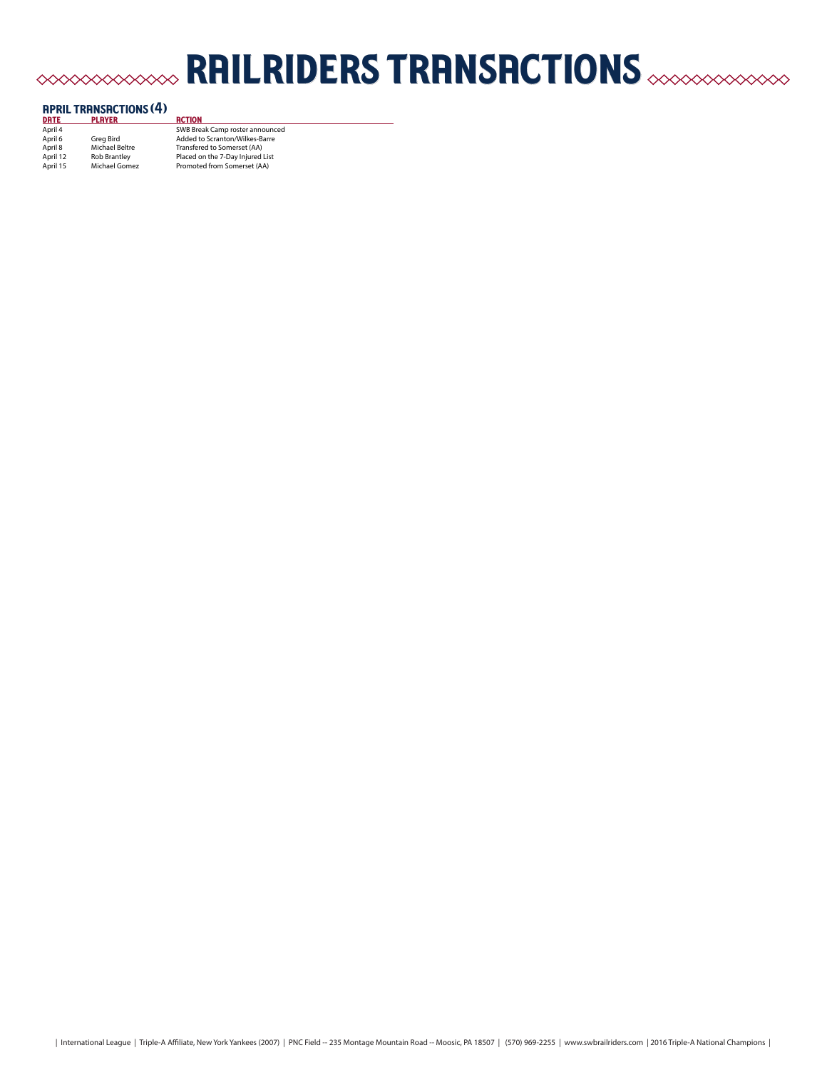# railriders transactions

| <b>APRIL TRANSACTIONS (4)</b> |                     |                                  |  |  |  |
|-------------------------------|---------------------|----------------------------------|--|--|--|
| <b>DRTE</b>                   | <b>PLAYER</b>       | <b>RCTION</b>                    |  |  |  |
| April 4                       |                     | SWB Break Camp roster announced  |  |  |  |
| April 6                       | Grea Bird           | Added to Scranton/Wilkes-Barre   |  |  |  |
| April 8                       | Michael Beltre      | Transfered to Somerset (AA)      |  |  |  |
| April 12                      | <b>Rob Brantlev</b> | Placed on the 7-Day Injured List |  |  |  |
| April 15                      | Michael Gomez       | Promoted from Somerset (AA)      |  |  |  |